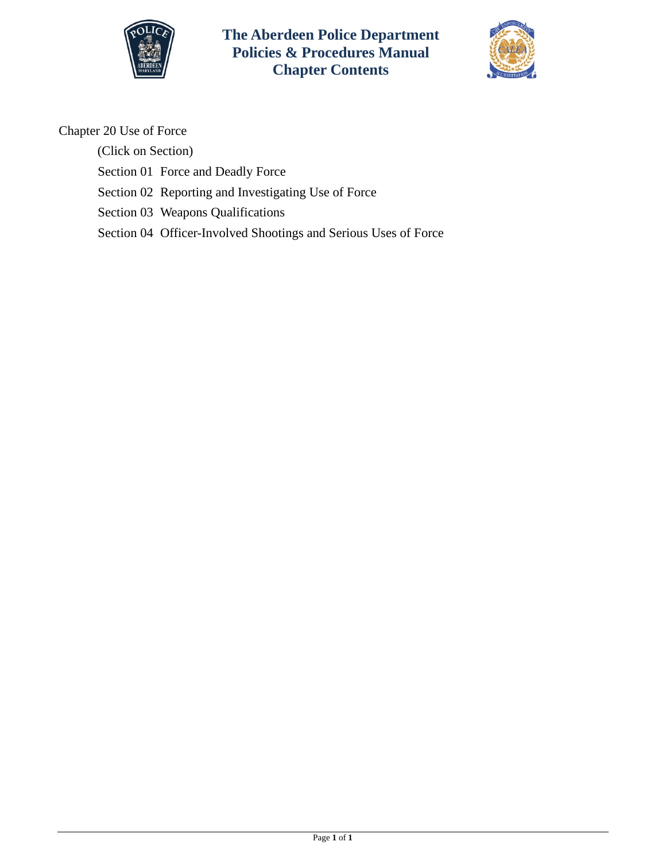

**The Aberdeen Police Department Policies & Procedures Manual Chapter Contents**



Chapter 20 Use of Force

(Click on Section)

[Section 01 Force and Deadly Force](#page-1-0) 

[Section 02 Reporting and Investigating Use of Force](#page-8-0) 

[Section 03 Weapons Qualifications](#page-11-0)

[Section 04 Officer-Involved Shootings and Serious Uses of Force](#page-14-0)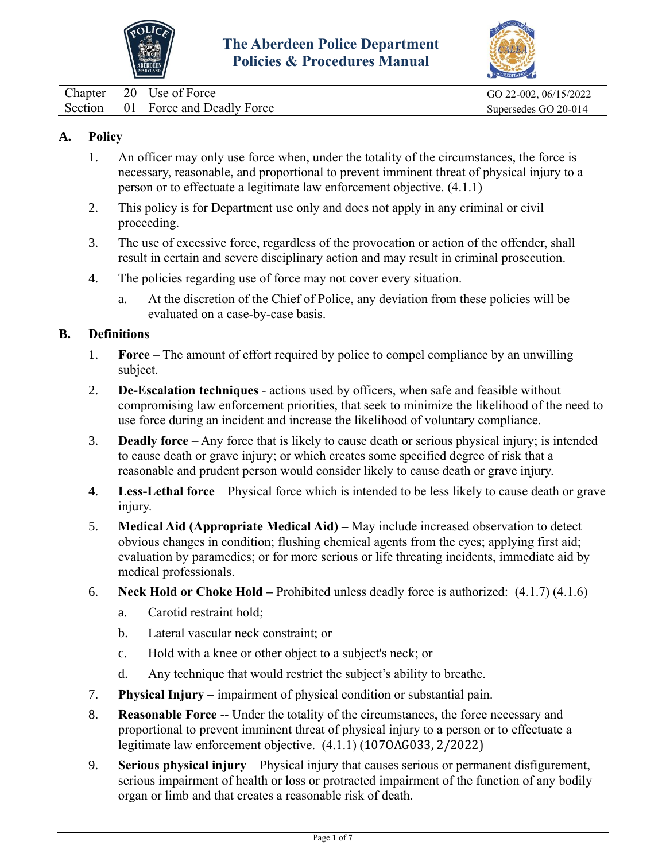



<span id="page-1-0"></span>Chapter 20 Use of Force GO 22-002, 06/15/2022 Section 01 Force and Deadly Force Supersedes GO 20-014

## **A. Policy**

- 1. An officer may only use force when, under the totality of the circumstances, the force is necessary, reasonable, and proportional to prevent imminent threat of physical injury to a person or to effectuate a legitimate law enforcement objective. (4.1.1)
- 2. This policy is for Department use only and does not apply in any criminal or civil proceeding.
- 3. The use of excessive force, regardless of the provocation or action of the offender, shall result in certain and severe disciplinary action and may result in criminal prosecution.
- 4. The policies regarding use of force may not cover every situation.
	- a. At the discretion of the Chief of Police, any deviation from these policies will be evaluated on a case-by-case basis.

## **B. Definitions**

- 1. **Force** The amount of effort required by police to compel compliance by an unwilling subject.
- 2. **De-Escalation techniques** actions used by officers, when safe and feasible without compromising law enforcement priorities, that seek to minimize the likelihood of the need to use force during an incident and increase the likelihood of voluntary compliance.
- 3. **Deadly force** Any force that is likely to cause death or serious physical injury; is intended to cause death or grave injury; or which creates some specified degree of risk that a reasonable and prudent person would consider likely to cause death or grave injury.
- 4. **Less-Lethal force** Physical force which is intended to be less likely to cause death or grave injury.
- 5. **Medical Aid (Appropriate Medical Aid) –** May include increased observation to detect obvious changes in condition; flushing chemical agents from the eyes; applying first aid; evaluation by paramedics; or for more serious or life threating incidents, immediate aid by medical professionals.
- 6. **Neck Hold or Choke Hold –** Prohibited unless deadly force is authorized: (4.1.7) (4.1.6)
	- a. Carotid restraint hold;
	- b. Lateral vascular neck constraint; or
	- c. Hold with a knee or other object to a subject's neck; or
	- d. Any technique that would restrict the subject's ability to breathe.
- 7. **Physical Injury –** impairment of physical condition or substantial pain.
- 8. **Reasonable Force** -- Under the totality of the circumstances, the force necessary and proportional to prevent imminent threat of physical injury to a person or to effectuate a legitimate law enforcement objective. (4.1.1) (107OAG033, 2/2022)
- 9. **Serious physical injury** Physical injury that causes serious or permanent disfigurement, serious impairment of health or loss or protracted impairment of the function of any bodily organ or limb and that creates a reasonable risk of death.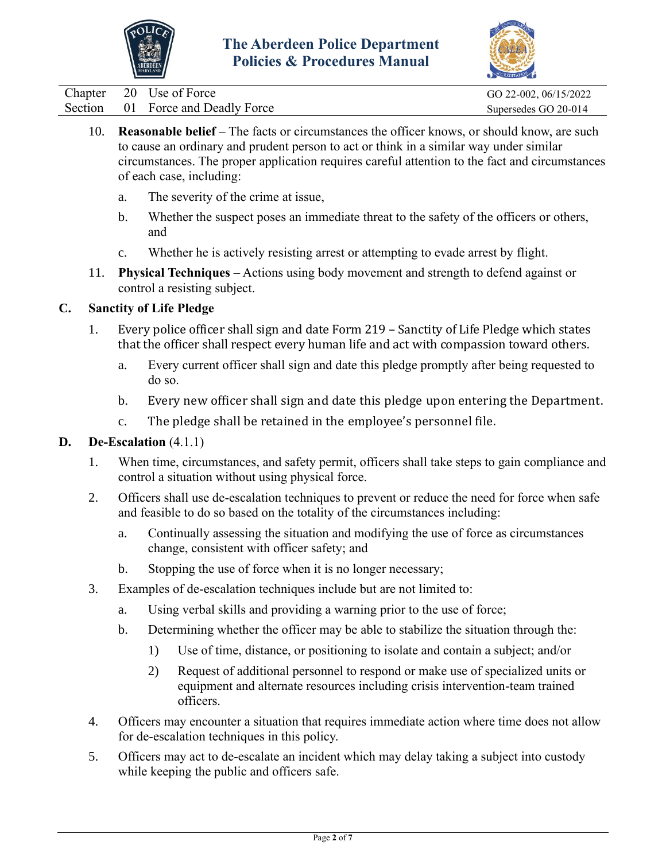



Chapter 20 Use of Force GO 22-002, 06/15/2022 Section 01 Force and Deadly Force Supersedes GO 20-014

- 10. **Reasonable belief** The facts or circumstances the officer knows, or should know, are such to cause an ordinary and prudent person to act or think in a similar way under similar circumstances. The proper application requires careful attention to the fact and circumstances of each case, including:
	- a. The severity of the crime at issue,
	- b. Whether the suspect poses an immediate threat to the safety of the officers or others, and
	- c. Whether he is actively resisting arrest or attempting to evade arrest by flight.
- 11. **Physical Techniques** Actions using body movement and strength to defend against or control a resisting subject.

## **C. Sanctity of Life Pledge**

- 1. Every police officer shall sign and date Form 219 Sanctity of Life Pledge which states that the officer shall respect every human life and act with compassion toward others.
	- a. Every current officer shall sign and date this pledge promptly after being requested to do so.
	- b. Every new officer shall sign and date this pledge upon entering the Department.
	- c. The pledge shall be retained in the employee's personnel file.

## **D. De-Escalation** (4.1.1)

- 1. When time, circumstances, and safety permit, officers shall take steps to gain compliance and control a situation without using physical force.
- 2. Officers shall use de-escalation techniques to prevent or reduce the need for force when safe and feasible to do so based on the totality of the circumstances including:
	- a. Continually assessing the situation and modifying the use of force as circumstances change, consistent with officer safety; and
	- b. Stopping the use of force when it is no longer necessary;
- 3. Examples of de-escalation techniques include but are not limited to:
	- a. Using verbal skills and providing a warning prior to the use of force;
	- b. Determining whether the officer may be able to stabilize the situation through the:
		- 1) Use of time, distance, or positioning to isolate and contain a subject; and/or
		- 2) Request of additional personnel to respond or make use of specialized units or equipment and alternate resources including crisis intervention-team trained officers.
- 4. Officers may encounter a situation that requires immediate action where time does not allow for de-escalation techniques in this policy.
- 5. Officers may act to de-escalate an incident which may delay taking a subject into custody while keeping the public and officers safe.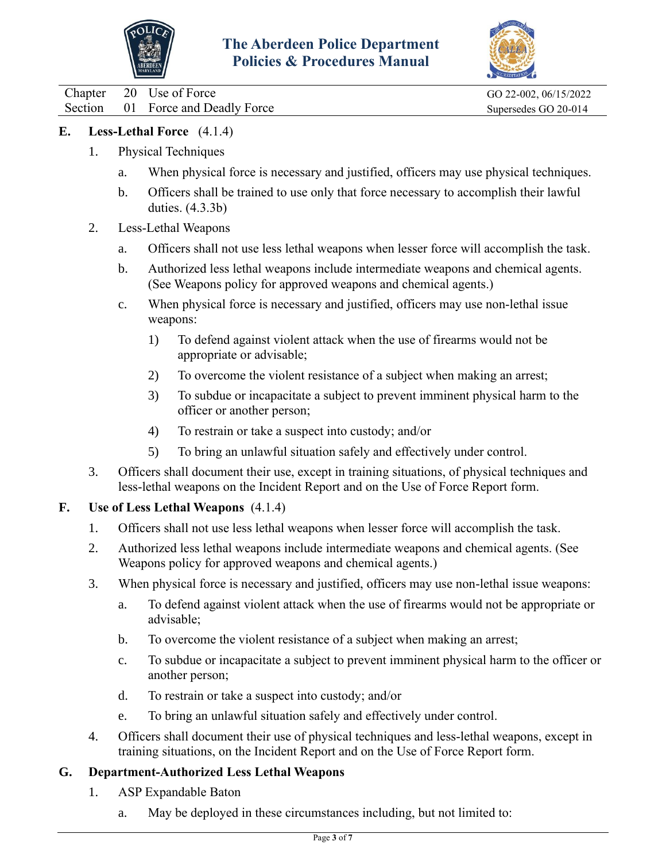



Chapter 20 Use of Force GO 22-002, 06/15/2022 Section 01 Force and Deadly Force Supersedes GO 20-014

## **E. Less-Lethal Force** (4.1.4)

- 1. Physical Techniques
	- a. When physical force is necessary and justified, officers may use physical techniques.
	- b. Officers shall be trained to use only that force necessary to accomplish their lawful duties. (4.3.3b)
- 2. Less-Lethal Weapons
	- a. Officers shall not use less lethal weapons when lesser force will accomplish the task.
	- b. Authorized less lethal weapons include intermediate weapons and chemical agents. (See Weapons policy for approved weapons and chemical agents.)
	- c. When physical force is necessary and justified, officers may use non-lethal issue weapons:
		- 1) To defend against violent attack when the use of firearms would not be appropriate or advisable;
		- 2) To overcome the violent resistance of a subject when making an arrest;
		- 3) To subdue or incapacitate a subject to prevent imminent physical harm to the officer or another person;
		- 4) To restrain or take a suspect into custody; and/or
		- 5) To bring an unlawful situation safely and effectively under control.
- 3. Officers shall document their use, except in training situations, of physical techniques and less-lethal weapons on the Incident Report and on the Use of Force Report form.

## **F. Use of Less Lethal Weapons** (4.1.4)

- 1. Officers shall not use less lethal weapons when lesser force will accomplish the task.
- 2. Authorized less lethal weapons include intermediate weapons and chemical agents. (See Weapons policy for approved weapons and chemical agents.)
- 3. When physical force is necessary and justified, officers may use non-lethal issue weapons:
	- a. To defend against violent attack when the use of firearms would not be appropriate or advisable;
	- b. To overcome the violent resistance of a subject when making an arrest;
	- c. To subdue or incapacitate a subject to prevent imminent physical harm to the officer or another person;
	- d. To restrain or take a suspect into custody; and/or
	- e. To bring an unlawful situation safely and effectively under control.
- 4. Officers shall document their use of physical techniques and less-lethal weapons, except in training situations, on the Incident Report and on the Use of Force Report form.

## **G. Department-Authorized Less Lethal Weapons**

- 1. ASP Expandable Baton
	- a. May be deployed in these circumstances including, but not limited to: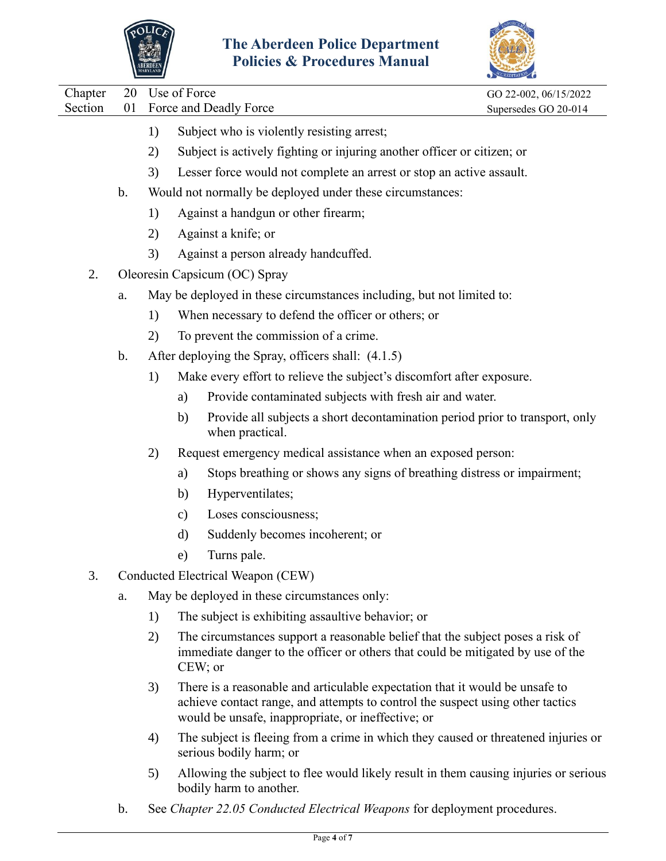



|                    |          | IAKTLANL |               |                                                                                                                                                                                                                      | ACCREDITATION                                 |
|--------------------|----------|----------|---------------|----------------------------------------------------------------------------------------------------------------------------------------------------------------------------------------------------------------------|-----------------------------------------------|
| Chapter<br>Section | 20<br>01 |          | Use of Force  | Force and Deadly Force                                                                                                                                                                                               | GO 22-002, 06/15/2022<br>Supersedes GO 20-014 |
|                    |          | 1)       |               | Subject who is violently resisting arrest;                                                                                                                                                                           |                                               |
|                    |          | 2)       |               | Subject is actively fighting or injuring another officer or citizen; or                                                                                                                                              |                                               |
|                    |          | 3)       |               | Lesser force would not complete an arrest or stop an active assault.                                                                                                                                                 |                                               |
|                    | $b$ .    |          |               | Would not normally be deployed under these circumstances:                                                                                                                                                            |                                               |
|                    |          | 1)       |               | Against a handgun or other firearm;                                                                                                                                                                                  |                                               |
|                    |          | 2)       |               | Against a knife; or                                                                                                                                                                                                  |                                               |
|                    |          | 3)       |               | Against a person already handcuffed.                                                                                                                                                                                 |                                               |
| 2.                 |          |          |               | Oleoresin Capsicum (OC) Spray                                                                                                                                                                                        |                                               |
|                    | a.       |          |               | May be deployed in these circumstances including, but not limited to:                                                                                                                                                |                                               |
|                    |          | 1)       |               | When necessary to defend the officer or others; or                                                                                                                                                                   |                                               |
|                    |          | 2)       |               | To prevent the commission of a crime.                                                                                                                                                                                |                                               |
|                    | b.       |          |               | After deploying the Spray, officers shall: (4.1.5)                                                                                                                                                                   |                                               |
|                    |          | 1)       |               | Make every effort to relieve the subject's discomfort after exposure.                                                                                                                                                |                                               |
|                    |          |          | a)            | Provide contaminated subjects with fresh air and water.                                                                                                                                                              |                                               |
|                    |          |          | b)            | Provide all subjects a short decontamination period prior to transport, only<br>when practical.                                                                                                                      |                                               |
|                    |          | 2)       |               | Request emergency medical assistance when an exposed person:                                                                                                                                                         |                                               |
|                    |          |          | a)            | Stops breathing or shows any signs of breathing distress or impairment;                                                                                                                                              |                                               |
|                    |          |          | b)            | Hyperventilates;                                                                                                                                                                                                     |                                               |
|                    |          |          | $\mathbf{c})$ | Loses consciousness;                                                                                                                                                                                                 |                                               |
|                    |          |          | d)            | Suddenly becomes incoherent; or                                                                                                                                                                                      |                                               |
|                    |          |          | e)            | Turns pale.                                                                                                                                                                                                          |                                               |
| 3.                 |          |          |               | Conducted Electrical Weapon (CEW)                                                                                                                                                                                    |                                               |
|                    | a.       |          |               | May be deployed in these circumstances only:                                                                                                                                                                         |                                               |
|                    |          | 1)       |               | The subject is exhibiting assaultive behavior; or                                                                                                                                                                    |                                               |
|                    |          | 2)       | $CEW$ ; or    | The circumstances support a reasonable belief that the subject poses a risk of<br>immediate danger to the officer or others that could be mitigated by use of the                                                    |                                               |
|                    |          | 3)       |               | There is a reasonable and articulable expectation that it would be unsafe to<br>achieve contact range, and attempts to control the suspect using other tactics<br>would be unsafe, inappropriate, or ineffective; or |                                               |
|                    |          | 4)       |               | The subject is fleeing from a crime in which they caused or threatened injuries or<br>serious bodily harm; or                                                                                                        |                                               |
|                    |          | 5)       |               | Allowing the subject to flee would likely result in them causing injuries or serious<br>bodily harm to another.                                                                                                      |                                               |

b. See *Chapter 22.05 Conducted Electrical Weapons* for deployment procedures.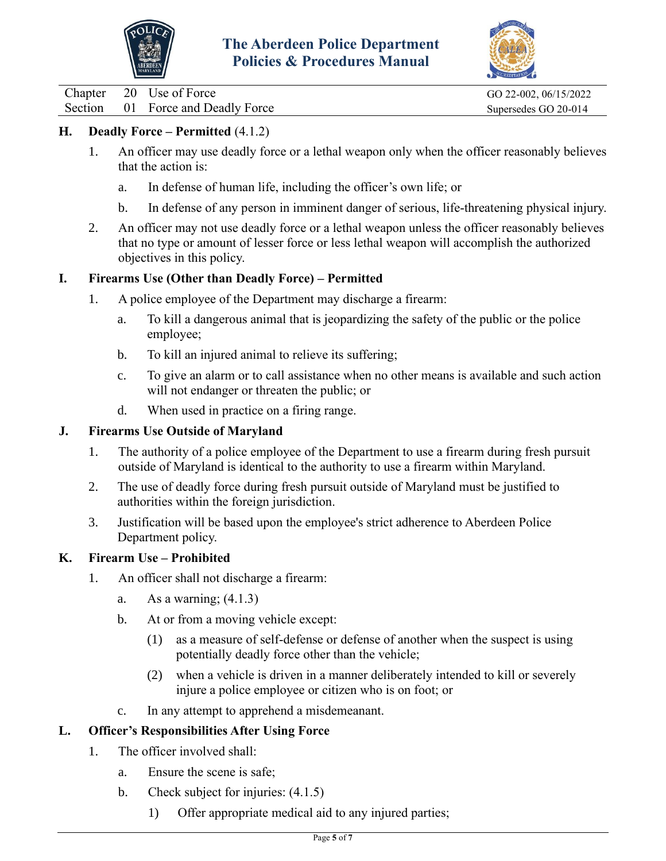



Chapter 20 Use of Force GO 22-002, 06/15/2022

Section 01 Force and Deadly Force Supersedes GO 20-014

## **H. Deadly Force – Permitted** (4.1.2)

- 1. An officer may use deadly force or a lethal weapon only when the officer reasonably believes that the action is:
	- a. In defense of human life, including the officer's own life; or
	- b. In defense of any person in imminent danger of serious, life-threatening physical injury.
- 2. An officer may not use deadly force or a lethal weapon unless the officer reasonably believes that no type or amount of lesser force or less lethal weapon will accomplish the authorized objectives in this policy.

## **I. Firearms Use (Other than Deadly Force) – Permitted**

- 1. A police employee of the Department may discharge a firearm:
	- a. To kill a dangerous animal that is jeopardizing the safety of the public or the police employee;
	- b. To kill an injured animal to relieve its suffering;
	- c. To give an alarm or to call assistance when no other means is available and such action will not endanger or threaten the public; or
	- d. When used in practice on a firing range.

#### **J. Firearms Use Outside of Maryland**

- 1. The authority of a police employee of the Department to use a firearm during fresh pursuit outside of Maryland is identical to the authority to use a firearm within Maryland.
- 2. The use of deadly force during fresh pursuit outside of Maryland must be justified to authorities within the foreign jurisdiction.
- 3. Justification will be based upon the employee's strict adherence to Aberdeen Police Department policy.

## **K. Firearm Use – Prohibited**

- 1. An officer shall not discharge a firearm:
	- a. As a warning;  $(4.1.3)$
	- b. At or from a moving vehicle except:
		- (1) as a measure of self-defense or defense of another when the suspect is using potentially deadly force other than the vehicle;
		- (2) when a vehicle is driven in a manner deliberately intended to kill or severely injure a police employee or citizen who is on foot; or
	- c. In any attempt to apprehend a misdemeanant.

## **L. Officer's Responsibilities After Using Force**

- 1. The officer involved shall:
	- a. Ensure the scene is safe;
	- b. Check subject for injuries:  $(4.1.5)$ 
		- 1) Offer appropriate medical aid to any injured parties;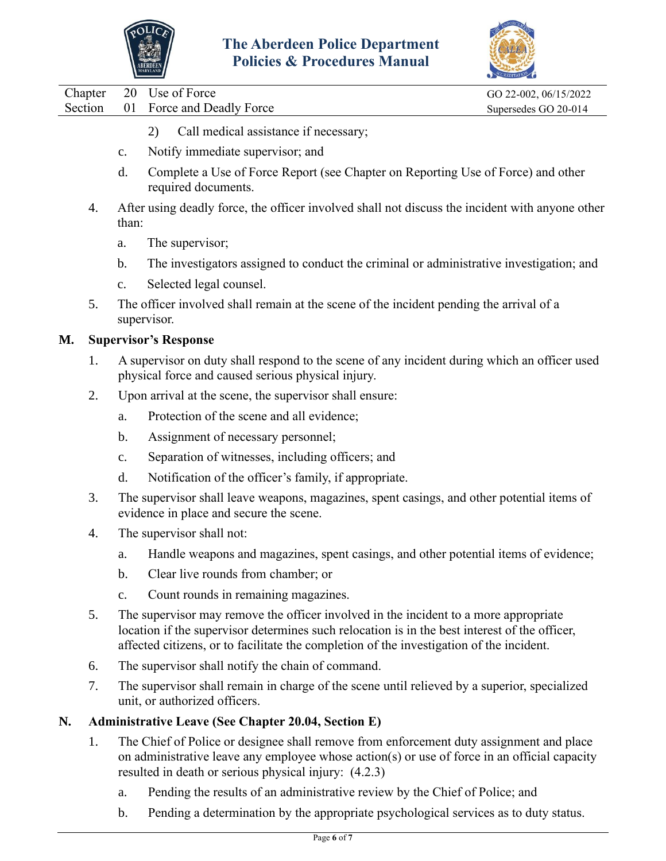



|    |         |                | <b>Policies &amp; Procedures Manual</b>                                                                                                                                                                                                                                           |                       |
|----|---------|----------------|-----------------------------------------------------------------------------------------------------------------------------------------------------------------------------------------------------------------------------------------------------------------------------------|-----------------------|
|    | Chapter | 20             | Use of Force                                                                                                                                                                                                                                                                      | GO 22-002, 06/15/2022 |
|    | Section | 01             | Force and Deadly Force                                                                                                                                                                                                                                                            | Supersedes GO 20-014  |
|    |         |                | Call medical assistance if necessary;<br>2)                                                                                                                                                                                                                                       |                       |
|    |         | $\mathbf{c}$ . | Notify immediate supervisor; and                                                                                                                                                                                                                                                  |                       |
|    |         | d.             | Complete a Use of Force Report (see Chapter on Reporting Use of Force) and other<br>required documents.                                                                                                                                                                           |                       |
|    | 4.      | than:          | After using deadly force, the officer involved shall not discuss the incident with anyone other                                                                                                                                                                                   |                       |
|    |         | a.             | The supervisor;                                                                                                                                                                                                                                                                   |                       |
|    |         | b.             | The investigators assigned to conduct the criminal or administrative investigation; and                                                                                                                                                                                           |                       |
|    |         | $C_{\bullet}$  | Selected legal counsel.                                                                                                                                                                                                                                                           |                       |
|    | 5.      |                | The officer involved shall remain at the scene of the incident pending the arrival of a<br>supervisor.                                                                                                                                                                            |                       |
| М. |         |                | <b>Supervisor's Response</b>                                                                                                                                                                                                                                                      |                       |
|    | 1.      |                | A supervisor on duty shall respond to the scene of any incident during which an officer used<br>physical force and caused serious physical injury.                                                                                                                                |                       |
|    | 2.      |                | Upon arrival at the scene, the supervisor shall ensure:                                                                                                                                                                                                                           |                       |
|    |         | a.             | Protection of the scene and all evidence;                                                                                                                                                                                                                                         |                       |
|    |         | b.             | Assignment of necessary personnel;                                                                                                                                                                                                                                                |                       |
|    |         | $\mathbf{c}$ . | Separation of witnesses, including officers; and                                                                                                                                                                                                                                  |                       |
|    |         | d.             | Notification of the officer's family, if appropriate.                                                                                                                                                                                                                             |                       |
|    | 3.      |                | The supervisor shall leave weapons, magazines, spent casings, and other potential items of<br>evidence in place and secure the scene.                                                                                                                                             |                       |
|    | 4.      |                | The supervisor shall not:                                                                                                                                                                                                                                                         |                       |
|    |         | a.             | Handle weapons and magazines, spent casings, and other potential items of evidence;                                                                                                                                                                                               |                       |
|    |         | b.             | Clear live rounds from chamber; or                                                                                                                                                                                                                                                |                       |
|    |         | c.             | Count rounds in remaining magazines.                                                                                                                                                                                                                                              |                       |
|    | 5.      |                | The supervisor may remove the officer involved in the incident to a more appropriate<br>location if the supervisor determines such relocation is in the best interest of the officer,<br>affected citizens, or to facilitate the completion of the investigation of the incident. |                       |
|    | 6.      |                | The supervisor shall notify the chain of command.                                                                                                                                                                                                                                 |                       |
|    | 7.      |                | The supervisor shall remain in charge of the scene until relieved by a superior, specialized<br>unit, or authorized officers.                                                                                                                                                     |                       |
| N. |         |                | <b>Administrative Leave (See Chapter 20.04, Section E)</b>                                                                                                                                                                                                                        |                       |
|    | 1.      |                | The Chief of Police or designee shall remove from enforcement duty assignment and place<br>on administrative leave any employee whose action(s) or use of force in an official capacity<br>resulted in death or serious physical injury: (4.2.3)                                  |                       |
|    |         | a.             | Pending the results of an administrative review by the Chief of Police; and                                                                                                                                                                                                       |                       |

b. Pending a determination by the appropriate psychological services as to duty status.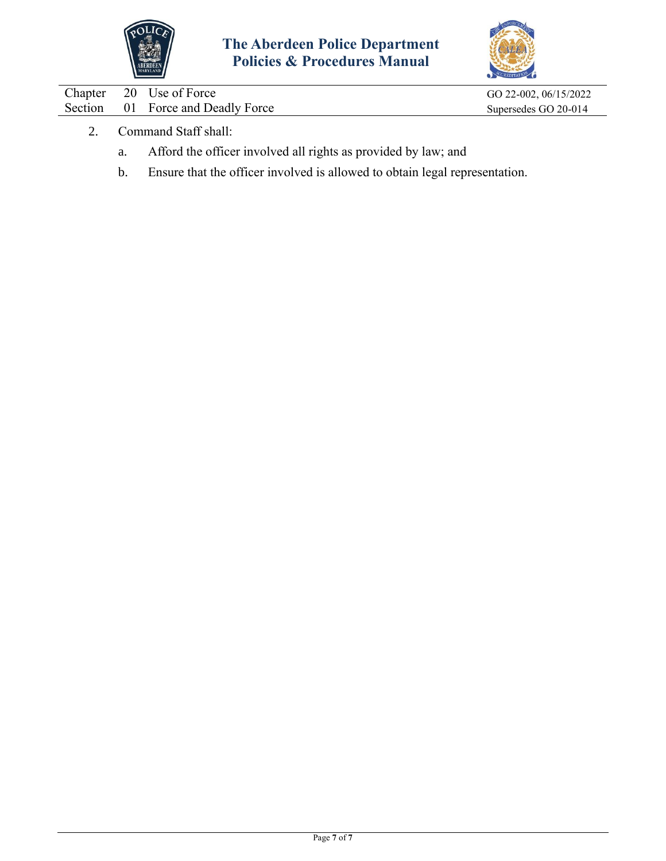



|  | Chapter 20 Use of Force            | GO 22-002, 06/15/2022 |
|--|------------------------------------|-----------------------|
|  | Section 01 Force and Deadly Force  | Supersedes GO 20-014  |
|  | $\sim$ $\sim$ $\sim$ $\sim$ $\sim$ |                       |

- 2. Command Staff shall:
	- a. Afford the officer involved all rights as provided by law; and
	- b. Ensure that the officer involved is allowed to obtain legal representation.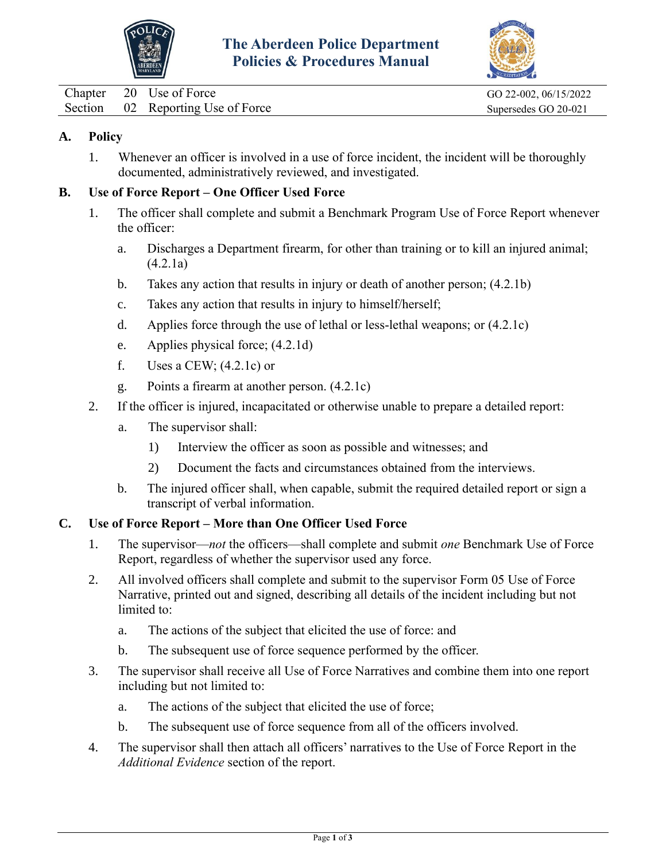



<span id="page-8-0"></span>Chapter 20 Use of Force GO 22-002, 06/15/2022

## **A. Policy**

1. Whenever an officer is involved in a use of force incident, the incident will be thoroughly documented, administratively reviewed, and investigated.

## **B. Use of Force Report – One Officer Used Force**

- 1. The officer shall complete and submit a Benchmark Program Use of Force Report whenever the officer:
	- a. Discharges a Department firearm, for other than training or to kill an injured animal; (4.2.1a)
	- b. Takes any action that results in injury or death of another person; (4.2.1b)
	- c. Takes any action that results in injury to himself/herself;
	- d. Applies force through the use of lethal or less-lethal weapons; or (4.2.1c)
	- e. Applies physical force; (4.2.1d)
	- f. Uses a CEW;  $(4.2.1c)$  or
	- g. Points a firearm at another person. (4.2.1c)
- 2. If the officer is injured, incapacitated or otherwise unable to prepare a detailed report:
	- a. The supervisor shall:
		- 1) Interview the officer as soon as possible and witnesses; and
		- 2) Document the facts and circumstances obtained from the interviews.
	- b. The injured officer shall, when capable, submit the required detailed report or sign a transcript of verbal information.

## **C. Use of Force Report – More than One Officer Used Force**

- 1. The supervisor—*not* the officers—shall complete and submit *one* Benchmark Use of Force Report, regardless of whether the supervisor used any force.
- 2. All involved officers shall complete and submit to the supervisor Form 05 Use of Force Narrative, printed out and signed, describing all details of the incident including but not limited to:
	- a. The actions of the subject that elicited the use of force: and
	- b. The subsequent use of force sequence performed by the officer.
- 3. The supervisor shall receive all Use of Force Narratives and combine them into one report including but not limited to:
	- a. The actions of the subject that elicited the use of force;
	- b. The subsequent use of force sequence from all of the officers involved.
- 4. The supervisor shall then attach all officers' narratives to the Use of Force Report in the *Additional Evidence* section of the report.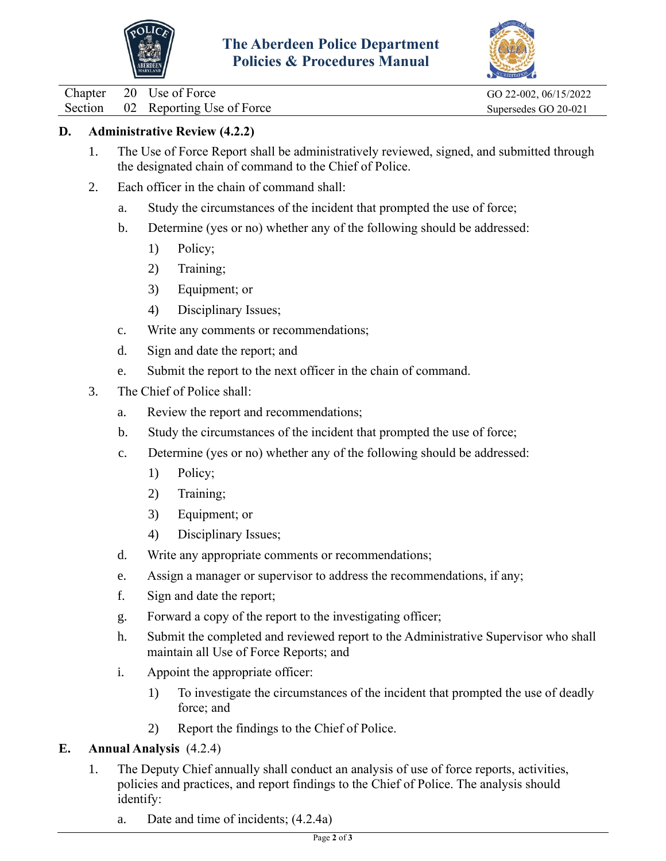



Chapter 20 Use of Force GO 22-002, 06/15/2022

Section 02 Reporting Use of Force Supersedes GO 20-021

## **D. Administrative Review (4.2.2)**

- 1. The Use of Force Report shall be administratively reviewed, signed, and submitted through the designated chain of command to the Chief of Police.
- 2. Each officer in the chain of command shall:
	- a. Study the circumstances of the incident that prompted the use of force;
	- b. Determine (yes or no) whether any of the following should be addressed:
		- 1) Policy;
		- 2) Training;
		- 3) Equipment; or
		- 4) Disciplinary Issues;
	- c. Write any comments or recommendations;
	- d. Sign and date the report; and
	- e. Submit the report to the next officer in the chain of command.
- 3. The Chief of Police shall:
	- a. Review the report and recommendations;
	- b. Study the circumstances of the incident that prompted the use of force;
	- c. Determine (yes or no) whether any of the following should be addressed:
		- 1) Policy;
		- 2) Training;
		- 3) Equipment; or
		- 4) Disciplinary Issues;
	- d. Write any appropriate comments or recommendations;
	- e. Assign a manager or supervisor to address the recommendations, if any;
	- f. Sign and date the report;
	- g. Forward a copy of the report to the investigating officer;
	- h. Submit the completed and reviewed report to the Administrative Supervisor who shall maintain all Use of Force Reports; and
	- i. Appoint the appropriate officer:
		- 1) To investigate the circumstances of the incident that prompted the use of deadly force; and
		- 2) Report the findings to the Chief of Police.

# **E. Annual Analysis** (4.2.4)

- 1. The Deputy Chief annually shall conduct an analysis of use of force reports, activities, policies and practices, and report findings to the Chief of Police. The analysis should identify:
	- a. Date and time of incidents; (4.2.4a)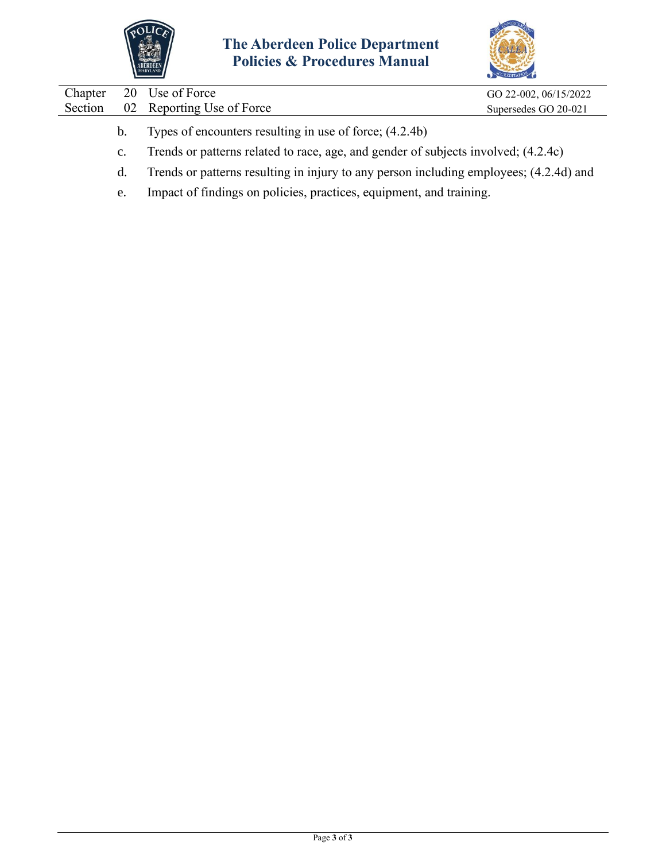



| Chapter |                | 20 Use of Force                                                                        | GO 22-002, 06/15/2022 |  |
|---------|----------------|----------------------------------------------------------------------------------------|-----------------------|--|
| Section |                | 02 Reporting Use of Force                                                              | Supersedes GO 20-021  |  |
|         |                |                                                                                        |                       |  |
|         | $b_{1}$        | Types of encounters resulting in use of force; (4.2.4b)                                |                       |  |
|         | $\mathbf{c}$ . | Trends or patterns related to race, age, and gender of subjects involved; (4.2.4c)     |                       |  |
|         | d.             | Trends or patterns resulting in injury to any person including employees; (4.2.4d) and |                       |  |

e. Impact of findings on policies, practices, equipment, and training.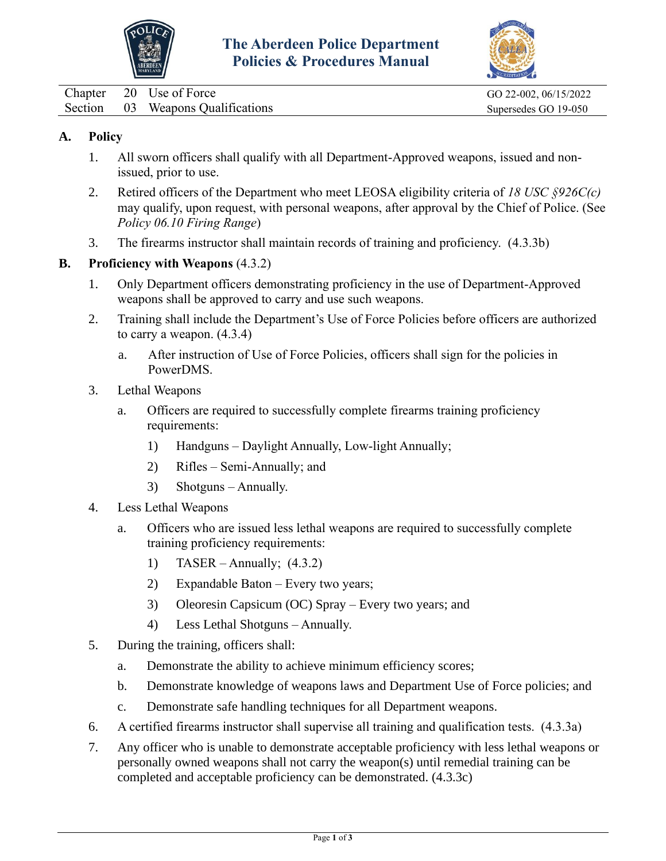



<span id="page-11-0"></span>

|  | Chapter 20 Use of Force           |
|--|-----------------------------------|
|  | Section 03 Weapons Qualifications |

GO 22-002, 06/15/2022 Supersedes GO 19-050

## **A. Policy**

- 1. All sworn officers shall qualify with all Department-Approved weapons, issued and nonissued, prior to use.
- 2. Retired officers of the Department who meet LEOSA eligibility criteria of *18 USC §926C(c)* may qualify, upon request, with personal weapons, after approval by the Chief of Police. (See *Policy 06.10 Firing Range*)
- 3. The firearms instructor shall maintain records of training and proficiency. (4.3.3b)

## **B. Proficiency with Weapons** (4.3.2)

- 1. Only Department officers demonstrating proficiency in the use of Department-Approved weapons shall be approved to carry and use such weapons.
- 2. Training shall include the Department's Use of Force Policies before officers are authorized to carry a weapon. (4.3.4)
	- a. After instruction of Use of Force Policies, officers shall sign for the policies in PowerDMS.
- 3. Lethal Weapons
	- a. Officers are required to successfully complete firearms training proficiency requirements:
		- 1) Handguns Daylight Annually, Low-light Annually;
		- 2) Rifles Semi-Annually; and
		- 3) Shotguns Annually.
- 4. Less Lethal Weapons
	- a. Officers who are issued less lethal weapons are required to successfully complete training proficiency requirements:
		- 1) TASER Annually;  $(4.3.2)$
		- 2) Expandable Baton Every two years;
		- 3) Oleoresin Capsicum (OC) Spray Every two years; and
		- 4) Less Lethal Shotguns Annually.
- 5. During the training, officers shall:
	- a. Demonstrate the ability to achieve minimum efficiency scores;
	- b. Demonstrate knowledge of weapons laws and Department Use of Force policies; and
	- c. Demonstrate safe handling techniques for all Department weapons.
- 6. A certified firearms instructor shall supervise all training and qualification tests. (4.3.3a)
- 7. Any officer who is unable to demonstrate acceptable proficiency with less lethal weapons or personally owned weapons shall not carry the weapon(s) until remedial training can be completed and acceptable proficiency can be demonstrated. (4.3.3c)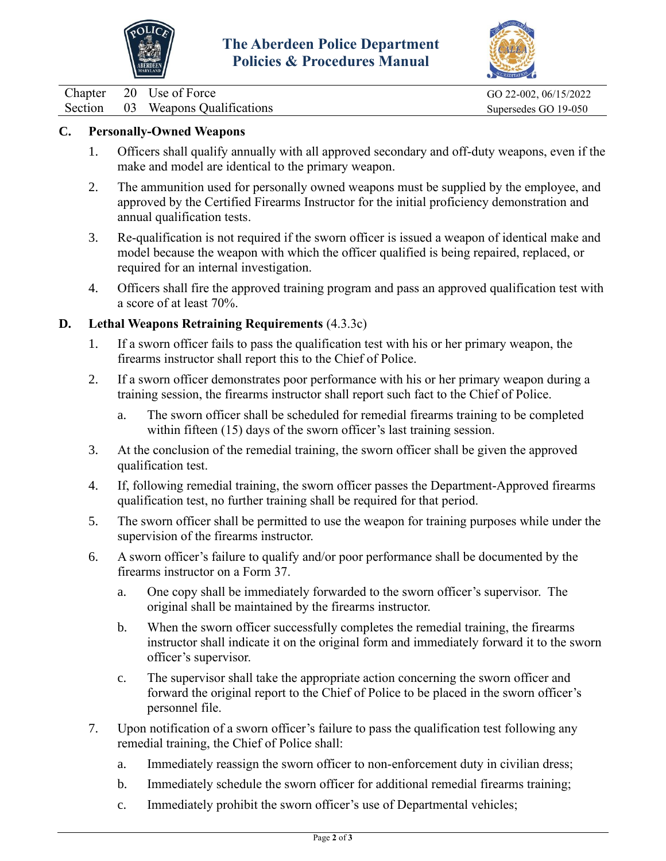



Chapter 20 Use of Force GO 22-002, 06/15/2022

Section 03 Weapons Qualifications Supersedes GO 19-050

## **C. Personally-Owned Weapons**

- 1. Officers shall qualify annually with all approved secondary and off-duty weapons, even if the make and model are identical to the primary weapon.
- 2. The ammunition used for personally owned weapons must be supplied by the employee, and approved by the Certified Firearms Instructor for the initial proficiency demonstration and annual qualification tests.
- 3. Re-qualification is not required if the sworn officer is issued a weapon of identical make and model because the weapon with which the officer qualified is being repaired, replaced, or required for an internal investigation.
- 4. Officers shall fire the approved training program and pass an approved qualification test with a score of at least 70%.

## **D. Lethal Weapons Retraining Requirements** (4.3.3c)

- 1. If a sworn officer fails to pass the qualification test with his or her primary weapon, the firearms instructor shall report this to the Chief of Police.
- 2. If a sworn officer demonstrates poor performance with his or her primary weapon during a training session, the firearms instructor shall report such fact to the Chief of Police.
	- a. The sworn officer shall be scheduled for remedial firearms training to be completed within fifteen (15) days of the sworn officer's last training session.
- 3. At the conclusion of the remedial training, the sworn officer shall be given the approved qualification test.
- 4. If, following remedial training, the sworn officer passes the Department-Approved firearms qualification test, no further training shall be required for that period.
- 5. The sworn officer shall be permitted to use the weapon for training purposes while under the supervision of the firearms instructor.
- 6. A sworn officer's failure to qualify and/or poor performance shall be documented by the firearms instructor on a Form 37.
	- a. One copy shall be immediately forwarded to the sworn officer's supervisor. The original shall be maintained by the firearms instructor.
	- b. When the sworn officer successfully completes the remedial training, the firearms instructor shall indicate it on the original form and immediately forward it to the sworn officer's supervisor.
	- c. The supervisor shall take the appropriate action concerning the sworn officer and forward the original report to the Chief of Police to be placed in the sworn officer's personnel file.
- 7. Upon notification of a sworn officer's failure to pass the qualification test following any remedial training, the Chief of Police shall:
	- a. Immediately reassign the sworn officer to non-enforcement duty in civilian dress;
	- b. Immediately schedule the sworn officer for additional remedial firearms training;
	- c. Immediately prohibit the sworn officer's use of Departmental vehicles;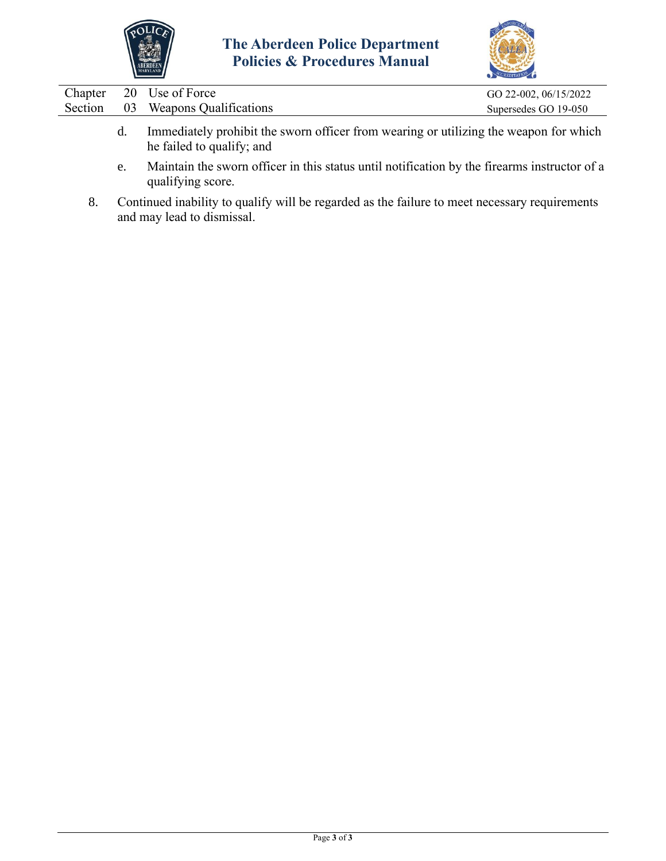



| Chapter | 20 Use of Force                                                                                                                                                                       | GO 22-002, 06/15/2022 |
|---------|---------------------------------------------------------------------------------------------------------------------------------------------------------------------------------------|-----------------------|
| Section | 03 Weapons Qualifications                                                                                                                                                             | Supersedes GO 19-050  |
|         | Immediately prohibit the sworn officer from wearing or utilizing the weapon for which<br>he failed to qualify; and<br>$\alpha$ , $1 \cdot 1 \cdot 1$ , $\alpha$ , $1 \cdot 1 \cdot 1$ |                       |

- e. Maintain the sworn officer in this status until notification by the firearms instructor of a qualifying score.
- 8. Continued inability to qualify will be regarded as the failure to meet necessary requirements and may lead to dismissal.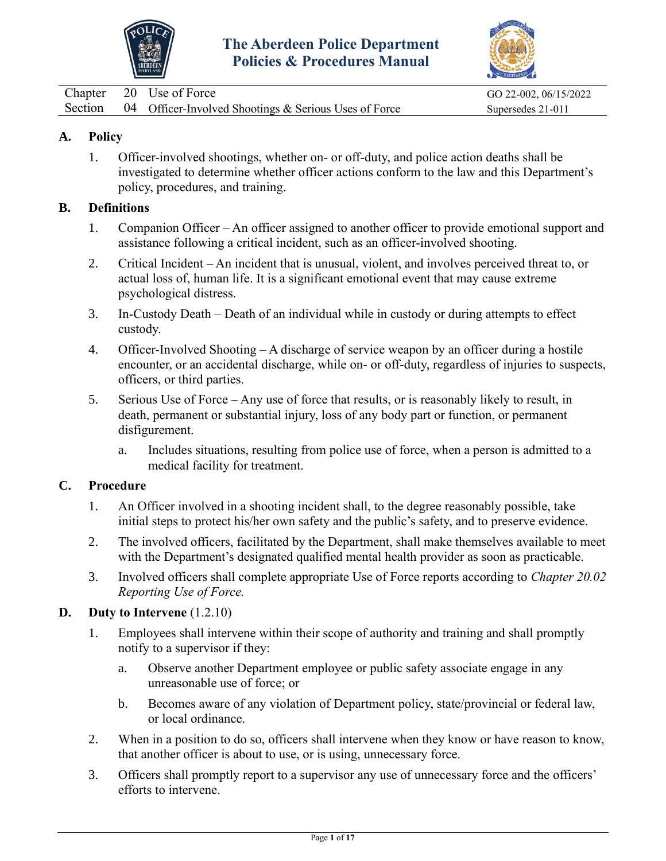



<span id="page-14-0"></span>

|  | Chapter 20 Use of Force                                       | GO 22-002, 06/15/2022 |
|--|---------------------------------------------------------------|-----------------------|
|  | Section 04 Officer-Involved Shootings & Serious Uses of Force | Supersedes 21-011     |

## **A. Policy**

1. Officer-involved shootings, whether on- or off-duty, and police action deaths shall be investigated to determine whether officer actions conform to the law and this Department's policy, procedures, and training.

#### **B. Definitions**

- 1. Companion Officer An officer assigned to another officer to provide emotional support and assistance following a critical incident, such as an officer-involved shooting.
- 2. Critical Incident An incident that is unusual, violent, and involves perceived threat to, or actual loss of, human life. It is a significant emotional event that may cause extreme psychological distress.
- 3. In-Custody Death Death of an individual while in custody or during attempts to effect custody.
- 4. Officer-Involved Shooting A discharge of service weapon by an officer during a hostile encounter, or an accidental discharge, while on- or off-duty, regardless of injuries to suspects, officers, or third parties.
- 5. Serious Use of Force Any use of force that results, or is reasonably likely to result, in death, permanent or substantial injury, loss of any body part or function, or permanent disfigurement.
	- a. Includes situations, resulting from police use of force, when a person is admitted to a medical facility for treatment.

#### **C. Procedure**

- 1. An Officer involved in a shooting incident shall, to the degree reasonably possible, take initial steps to protect his/her own safety and the public's safety, and to preserve evidence.
- 2. The involved officers, facilitated by the Department, shall make themselves available to meet with the Department's designated qualified mental health provider as soon as practicable.
- 3. Involved officers shall complete appropriate Use of Force reports according to *Chapter 20.02 Reporting Use of Force.*

## **D. Duty to Intervene** (1.2.10)

- 1. Employees shall intervene within their scope of authority and training and shall promptly notify to a supervisor if they:
	- a. Observe another Department employee or public safety associate engage in any unreasonable use of force; or
	- b. Becomes aware of any violation of Department policy, state/provincial or federal law, or local ordinance.
- 2. When in a position to do so, officers shall intervene when they know or have reason to know, that another officer is about to use, or is using, unnecessary force.
- 3. Officers shall promptly report to a supervisor any use of unnecessary force and the officers' efforts to intervene.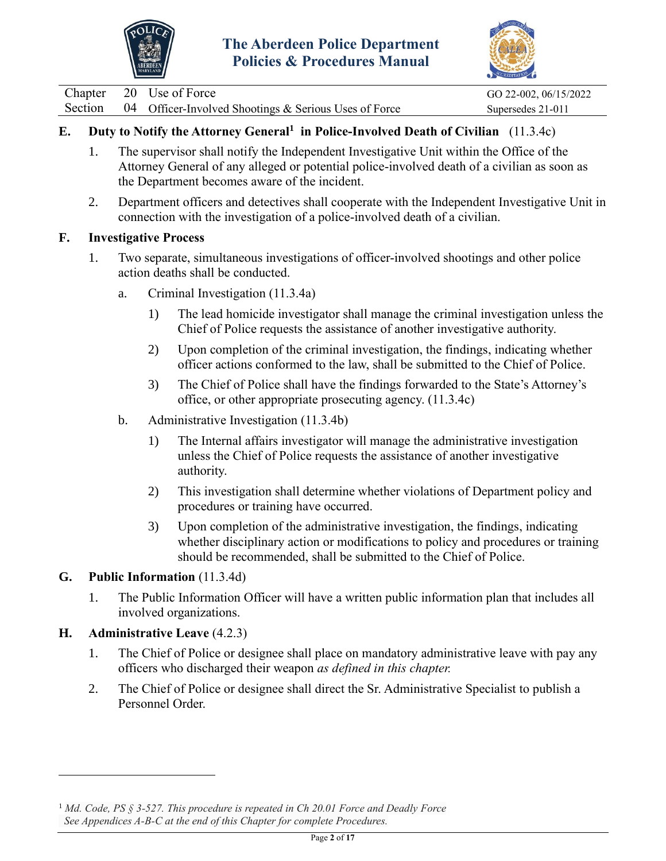



|  | Chapter 20 Use of Force                                       | GO 22-002, 06/15/2022 |
|--|---------------------------------------------------------------|-----------------------|
|  | Section 04 Officer-Involved Shootings & Serious Uses of Force | Supersedes 21-011     |

# **E. Duty to Notify the Attorney General<sup>1</sup> in Police-Involved Death of Civilian** (11.3.4c)

- 1. The supervisor shall notify the Independent Investigative Unit within the Office of the Attorney General of any alleged or potential police-involved death of a civilian as soon as the Department becomes aware of the incident.
- 2. Department officers and detectives shall cooperate with the Independent Investigative Unit in connection with the investigation of a police-involved death of a civilian.

## **F. Investigative Process**

- 1. Two separate, simultaneous investigations of officer-involved shootings and other police action deaths shall be conducted.
	- a. Criminal Investigation (11.3.4a)
		- 1) The lead homicide investigator shall manage the criminal investigation unless the Chief of Police requests the assistance of another investigative authority.
		- 2) Upon completion of the criminal investigation, the findings, indicating whether officer actions conformed to the law, shall be submitted to the Chief of Police.
		- 3) The Chief of Police shall have the findings forwarded to the State's Attorney's office, or other appropriate prosecuting agency. (11.3.4c)
	- b. Administrative Investigation (11.3.4b)
		- 1) The Internal affairs investigator will manage the administrative investigation unless the Chief of Police requests the assistance of another investigative authority.
		- 2) This investigation shall determine whether violations of Department policy and procedures or training have occurred.
		- 3) Upon completion of the administrative investigation, the findings, indicating whether disciplinary action or modifications to policy and procedures or training should be recommended, shall be submitted to the Chief of Police.

## **G. Public Information** (11.3.4d)

1. The Public Information Officer will have a written public information plan that includes all involved organizations.

## **H. Administrative Leave** (4.2.3)

- 1. The Chief of Police or designee shall place on mandatory administrative leave with pay any officers who discharged their weapon *as defined in this chapter.*
- 2. The Chief of Police or designee shall direct the Sr. Administrative Specialist to publish a Personnel Order.

<sup>1</sup> *Md. Code, PS § 3-527. This procedure is repeated in Ch 20.01 Force and Deadly Force See Appendices A-B-C at the end of this Chapter for complete Procedures.*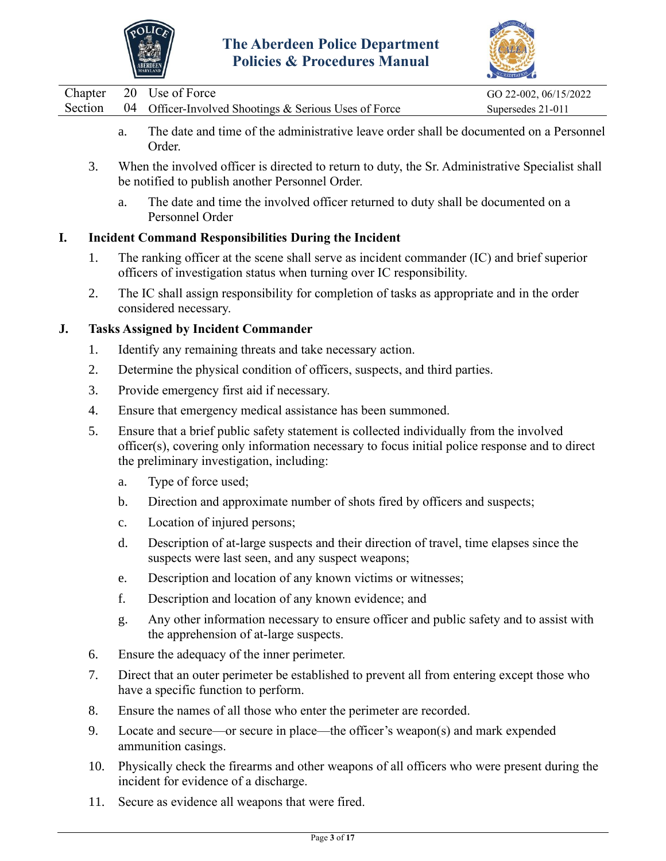



|         | AMARYLAND                                                                              | ACCREDITATION         |
|---------|----------------------------------------------------------------------------------------|-----------------------|
|         | Chapter 20 Use of Force                                                                | GO 22-002, 06/15/2022 |
| Section | 04 Officer-Involved Shootings & Serious Uses of Force                                  | Supersedes 21-011     |
|         | The date and time of the administrative leave order shall be documented on a Personnel |                       |

- a. The date and time of the administrative leave order shall be documented on a Personnel Order.
- 3. When the involved officer is directed to return to duty, the Sr. Administrative Specialist shall be notified to publish another Personnel Order.
	- a. The date and time the involved officer returned to duty shall be documented on a Personnel Order

## **I. Incident Command Responsibilities During the Incident**

- 1. The ranking officer at the scene shall serve as incident commander (IC) and brief superior officers of investigation status when turning over IC responsibility.
- 2. The IC shall assign responsibility for completion of tasks as appropriate and in the order considered necessary.

## **J. Tasks Assigned by Incident Commander**

- 1. Identify any remaining threats and take necessary action.
- 2. Determine the physical condition of officers, suspects, and third parties.
- 3. Provide emergency first aid if necessary.
- 4. Ensure that emergency medical assistance has been summoned.
- 5. Ensure that a brief public safety statement is collected individually from the involved officer(s), covering only information necessary to focus initial police response and to direct the preliminary investigation, including:
	- a. Type of force used;
	- b. Direction and approximate number of shots fired by officers and suspects;
	- c. Location of injured persons;
	- d. Description of at-large suspects and their direction of travel, time elapses since the suspects were last seen, and any suspect weapons;
	- e. Description and location of any known victims or witnesses;
	- f. Description and location of any known evidence; and
	- g. Any other information necessary to ensure officer and public safety and to assist with the apprehension of at-large suspects.
- 6. Ensure the adequacy of the inner perimeter.
- 7. Direct that an outer perimeter be established to prevent all from entering except those who have a specific function to perform.
- 8. Ensure the names of all those who enter the perimeter are recorded.
- 9. Locate and secure—or secure in place—the officer's weapon(s) and mark expended ammunition casings.
- 10. Physically check the firearms and other weapons of all officers who were present during the incident for evidence of a discharge.
- 11. Secure as evidence all weapons that were fired.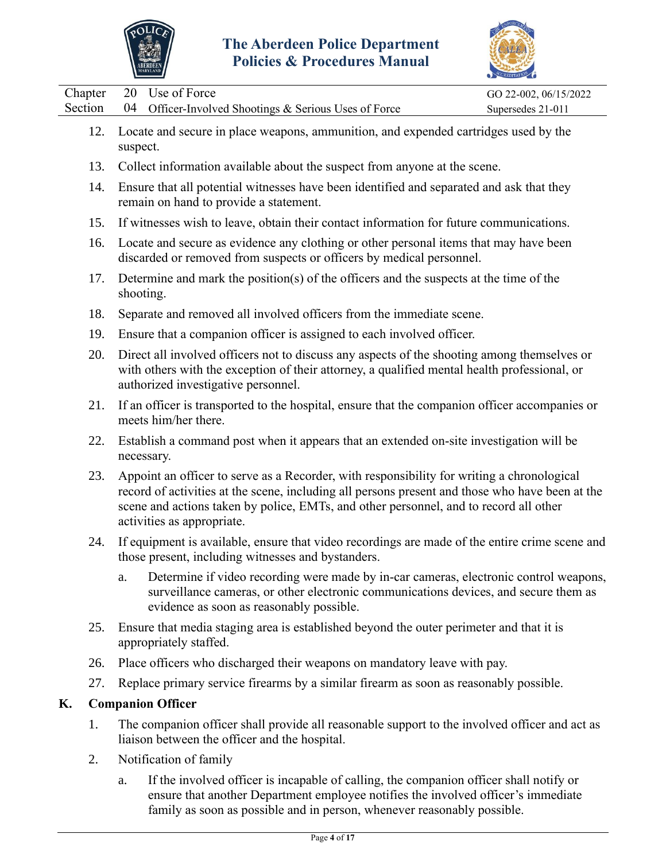



|                    |          | MARTLAND J                                                                                                                                                                                                                                                                                                           | ACCREDITATION                              |
|--------------------|----------|----------------------------------------------------------------------------------------------------------------------------------------------------------------------------------------------------------------------------------------------------------------------------------------------------------------------|--------------------------------------------|
| Chapter<br>Section | 20<br>04 | Use of Force<br>Officer-Involved Shootings & Serious Uses of Force                                                                                                                                                                                                                                                   | GO 22-002, 06/15/2022<br>Supersedes 21-011 |
| 12.                | suspect. | Locate and secure in place weapons, ammunition, and expended cartridges used by the                                                                                                                                                                                                                                  |                                            |
| 13.                |          | Collect information available about the suspect from anyone at the scene.                                                                                                                                                                                                                                            |                                            |
| 14.                |          | Ensure that all potential witnesses have been identified and separated and ask that they<br>remain on hand to provide a statement.                                                                                                                                                                                   |                                            |
| 15.                |          | If witnesses wish to leave, obtain their contact information for future communications.                                                                                                                                                                                                                              |                                            |
| 16.                |          | Locate and secure as evidence any clothing or other personal items that may have been<br>discarded or removed from suspects or officers by medical personnel.                                                                                                                                                        |                                            |
| 17.                |          | Determine and mark the position(s) of the officers and the suspects at the time of the<br>shooting.                                                                                                                                                                                                                  |                                            |
| 18.                |          | Separate and removed all involved officers from the immediate scene.                                                                                                                                                                                                                                                 |                                            |
| 19.                |          | Ensure that a companion officer is assigned to each involved officer.                                                                                                                                                                                                                                                |                                            |
| 20.                |          | Direct all involved officers not to discuss any aspects of the shooting among themselves or<br>with others with the exception of their attorney, a qualified mental health professional, or<br>authorized investigative personnel.                                                                                   |                                            |
| 21.                |          | If an officer is transported to the hospital, ensure that the companion officer accompanies or<br>meets him/her there.                                                                                                                                                                                               |                                            |
| 22.                |          | Establish a command post when it appears that an extended on-site investigation will be<br>necessary.                                                                                                                                                                                                                |                                            |
| 23.                |          | Appoint an officer to serve as a Recorder, with responsibility for writing a chronological<br>record of activities at the scene, including all persons present and those who have been at the<br>scene and actions taken by police, EMTs, and other personnel, and to record all other<br>activities as appropriate. |                                            |
| 24.                |          | If equipment is available, ensure that video recordings are made of the entire crime scene and<br>those present, including witnesses and bystanders.                                                                                                                                                                 |                                            |
|                    | a.       | Determine if video recording were made by in-car cameras, electronic control weapons,<br>surveillance cameras, or other electronic communications devices, and secure them as<br>evidence as soon as reasonably possible.                                                                                            |                                            |
| 25.                |          | Ensure that media staging area is established beyond the outer perimeter and that it is<br>appropriately staffed.                                                                                                                                                                                                    |                                            |
| 26.                |          | Place officers who discharged their weapons on mandatory leave with pay.                                                                                                                                                                                                                                             |                                            |
| 27.                |          | Replace primary service firearms by a similar firearm as soon as reasonably possible.                                                                                                                                                                                                                                |                                            |
| K.                 |          | <b>Companion Officer</b>                                                                                                                                                                                                                                                                                             |                                            |
| 1.                 |          | The companion officer shall provide all reasonable support to the involved officer and act as<br>liaison between the officer and the hospital.                                                                                                                                                                       |                                            |
|                    |          |                                                                                                                                                                                                                                                                                                                      |                                            |

- 2. Notification of family
	- a. If the involved officer is incapable of calling, the companion officer shall notify or ensure that another Department employee notifies the involved officer's immediate family as soon as possible and in person, whenever reasonably possible.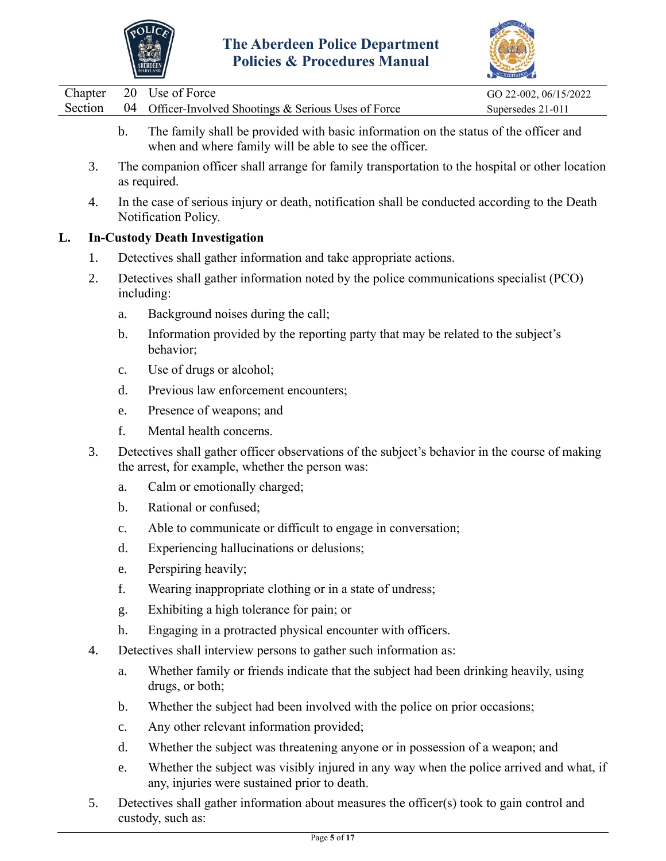



|                    |                | POIICIES & Procedures Manual<br><b>ABERDEEN</b>                                                                                                    |                                            |
|--------------------|----------------|----------------------------------------------------------------------------------------------------------------------------------------------------|--------------------------------------------|
| Chapter<br>Section | 20<br>04       | Use of Force<br>Officer-Involved Shootings & Serious Uses of Force                                                                                 | GO 22-002, 06/15/2022<br>Supersedes 21-011 |
|                    | $\mathbf b$ .  | The family shall be provided with basic information on the status of the officer and<br>when and where family will be able to see the officer.     |                                            |
| 3.                 |                | The companion officer shall arrange for family transportation to the hospital or other location<br>as required.                                    |                                            |
| 4.                 |                | In the case of serious injury or death, notification shall be conducted according to the Death<br>Notification Policy.                             |                                            |
| L.                 |                | <b>In-Custody Death Investigation</b>                                                                                                              |                                            |
| 1.                 |                | Detectives shall gather information and take appropriate actions.                                                                                  |                                            |
| 2.                 |                | Detectives shall gather information noted by the police communications specialist (PCO)<br>including:                                              |                                            |
|                    | a.             | Background noises during the call;                                                                                                                 |                                            |
|                    | b.             | Information provided by the reporting party that may be related to the subject's<br>behavior;                                                      |                                            |
|                    | $\mathbf{c}$ . | Use of drugs or alcohol;                                                                                                                           |                                            |
|                    | d.             | Previous law enforcement encounters;                                                                                                               |                                            |
|                    | e.             | Presence of weapons; and                                                                                                                           |                                            |
|                    | f.             | Mental health concerns.                                                                                                                            |                                            |
| 3.                 |                | Detectives shall gather officer observations of the subject's behavior in the course of making<br>the arrest, for example, whether the person was: |                                            |
|                    | a.             | Calm or emotionally charged;                                                                                                                       |                                            |
|                    | b.             | Rational or confused;                                                                                                                              |                                            |
|                    | $\mathbf{c}$ . | Able to communicate or difficult to engage in conversation;                                                                                        |                                            |
|                    | d.             | Experiencing hallucinations or delusions;                                                                                                          |                                            |
|                    | e.             | Perspiring heavily;                                                                                                                                |                                            |
|                    | f.             | Wearing inappropriate clothing or in a state of undress;                                                                                           |                                            |
|                    | g.             | Exhibiting a high tolerance for pain; or                                                                                                           |                                            |
|                    | h.             | Engaging in a protracted physical encounter with officers.                                                                                         |                                            |
| 4.                 |                | Detectives shall interview persons to gather such information as:                                                                                  |                                            |
|                    | a.             | Whether family or friends indicate that the subject had been drinking heavily, using<br>drugs, or both;                                            |                                            |
|                    | $\mathbf b$ .  | Whether the subject had been involved with the police on prior occasions;                                                                          |                                            |
|                    |                |                                                                                                                                                    |                                            |

- c. Any other relevant information provided;
- d. Whether the subject was threatening anyone or in possession of a weapon; and
- e. Whether the subject was visibly injured in any way when the police arrived and what, if any, injuries were sustained prior to death.
- 5. Detectives shall gather information about measures the officer(s) took to gain control and custody, such as: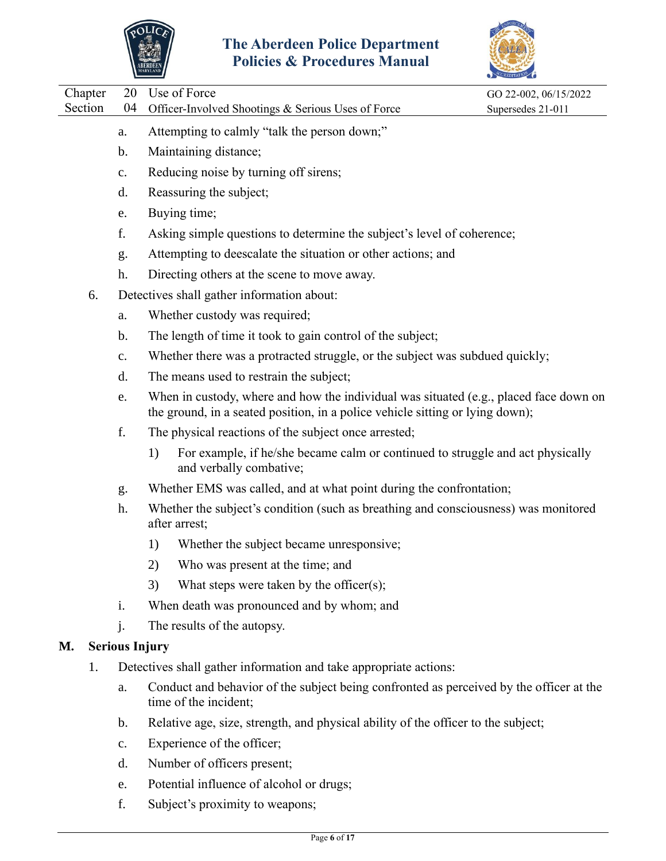



|         |         |                |                                                                                                                                                                        | COREDITATION          |  |
|---------|---------|----------------|------------------------------------------------------------------------------------------------------------------------------------------------------------------------|-----------------------|--|
| Section | Chapter | 20<br>04       | Use of Force                                                                                                                                                           | GO 22-002, 06/15/2022 |  |
|         |         |                | Officer-Involved Shootings & Serious Uses of Force                                                                                                                     | Supersedes 21-011     |  |
|         |         | a.             | Attempting to calmly "talk the person down;"                                                                                                                           |                       |  |
|         |         | b.             | Maintaining distance;                                                                                                                                                  |                       |  |
|         |         | c.             | Reducing noise by turning off sirens;                                                                                                                                  |                       |  |
|         |         | d.             | Reassuring the subject;                                                                                                                                                |                       |  |
|         |         | e.             | Buying time;                                                                                                                                                           |                       |  |
|         |         | f.             | Asking simple questions to determine the subject's level of coherence;                                                                                                 |                       |  |
|         |         | g.             | Attempting to deescalate the situation or other actions; and                                                                                                           |                       |  |
|         |         | h.             | Directing others at the scene to move away.                                                                                                                            |                       |  |
|         | 6.      |                | Detectives shall gather information about:                                                                                                                             |                       |  |
|         |         | a.             | Whether custody was required;                                                                                                                                          |                       |  |
|         |         | $\mathbf b$ .  | The length of time it took to gain control of the subject;                                                                                                             |                       |  |
|         |         | c.             | Whether there was a protracted struggle, or the subject was subdued quickly;                                                                                           |                       |  |
|         |         | d.             | The means used to restrain the subject;                                                                                                                                |                       |  |
|         |         | e.             | When in custody, where and how the individual was situated (e.g., placed face down on<br>the ground, in a seated position, in a police vehicle sitting or lying down); |                       |  |
|         |         | f.             | The physical reactions of the subject once arrested;                                                                                                                   |                       |  |
|         |         |                | For example, if he/she became calm or continued to struggle and act physically<br>1)<br>and verbally combative;                                                        |                       |  |
|         |         | g.             | Whether EMS was called, and at what point during the confrontation;                                                                                                    |                       |  |
|         |         | h.             | Whether the subject's condition (such as breathing and consciousness) was monitored<br>after arrest;                                                                   |                       |  |
|         |         |                | Whether the subject became unresponsive;<br>1)                                                                                                                         |                       |  |
|         |         |                | 2)<br>Who was present at the time; and                                                                                                                                 |                       |  |
|         |         |                | What steps were taken by the officer(s);<br>3)                                                                                                                         |                       |  |
|         |         | i.             | When death was pronounced and by whom; and                                                                                                                             |                       |  |
|         |         | $\mathbf{j}$ . | The results of the autopsy.                                                                                                                                            |                       |  |
| M.      |         |                | <b>Serious Injury</b>                                                                                                                                                  |                       |  |
|         | 1.      |                | Detectives shall gather information and take appropriate actions:                                                                                                      |                       |  |
|         |         | a.             | Conduct and behavior of the subject being confronted as perceived by the officer at the<br>time of the incident;                                                       |                       |  |
|         |         | $\mathbf b$ .  | Relative age, size, strength, and physical ability of the officer to the subject;                                                                                      |                       |  |
|         |         | $\mathbf{c}$ . | Experience of the officer;                                                                                                                                             |                       |  |
|         |         | d.             | Number of officers present;                                                                                                                                            |                       |  |
|         |         | e.             | Potential influence of alcohol or drugs;                                                                                                                               |                       |  |

f. Subject's proximity to weapons;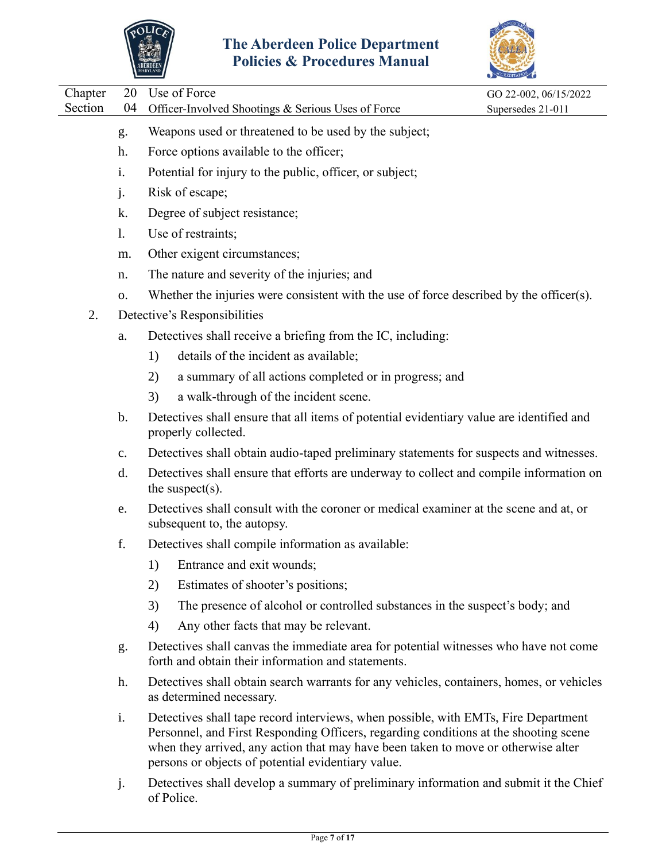



|         |                | MARYLAND                                                                                                                                                                                                                                                                                                              | ACCREDITATION         |
|---------|----------------|-----------------------------------------------------------------------------------------------------------------------------------------------------------------------------------------------------------------------------------------------------------------------------------------------------------------------|-----------------------|
| Chapter | 20             | Use of Force                                                                                                                                                                                                                                                                                                          | GO 22-002, 06/15/2022 |
| Section | 04             | Officer-Involved Shootings & Serious Uses of Force                                                                                                                                                                                                                                                                    | Supersedes 21-011     |
|         | g.             | Weapons used or threatened to be used by the subject;                                                                                                                                                                                                                                                                 |                       |
|         | h.             | Force options available to the officer;                                                                                                                                                                                                                                                                               |                       |
|         | i.             | Potential for injury to the public, officer, or subject;                                                                                                                                                                                                                                                              |                       |
|         | j.             | Risk of escape;                                                                                                                                                                                                                                                                                                       |                       |
|         | k.             | Degree of subject resistance;                                                                                                                                                                                                                                                                                         |                       |
|         | 1.             | Use of restraints;                                                                                                                                                                                                                                                                                                    |                       |
|         | m.             | Other exigent circumstances;                                                                                                                                                                                                                                                                                          |                       |
|         | n.             | The nature and severity of the injuries; and                                                                                                                                                                                                                                                                          |                       |
|         | 0.             | Whether the injuries were consistent with the use of force described by the officer(s).                                                                                                                                                                                                                               |                       |
| 2.      |                | Detective's Responsibilities                                                                                                                                                                                                                                                                                          |                       |
|         | a.             | Detectives shall receive a briefing from the IC, including:                                                                                                                                                                                                                                                           |                       |
|         |                | details of the incident as available;<br>1)                                                                                                                                                                                                                                                                           |                       |
|         |                | a summary of all actions completed or in progress; and<br>2)                                                                                                                                                                                                                                                          |                       |
|         |                | a walk-through of the incident scene.<br>3)                                                                                                                                                                                                                                                                           |                       |
|         | $\mathbf b$ .  | Detectives shall ensure that all items of potential evidentiary value are identified and<br>properly collected.                                                                                                                                                                                                       |                       |
|         | $\mathbf{c}$ . | Detectives shall obtain audio-taped preliminary statements for suspects and witnesses.                                                                                                                                                                                                                                |                       |
|         | d.             | Detectives shall ensure that efforts are underway to collect and compile information on<br>the suspect $(s)$ .                                                                                                                                                                                                        |                       |
|         | e.             | Detectives shall consult with the coroner or medical examiner at the scene and at, or<br>subsequent to, the autopsy.                                                                                                                                                                                                  |                       |
|         | f.             | Detectives shall compile information as available:                                                                                                                                                                                                                                                                    |                       |
|         |                | Entrance and exit wounds;<br>1)                                                                                                                                                                                                                                                                                       |                       |
|         |                | Estimates of shooter's positions;<br>2)                                                                                                                                                                                                                                                                               |                       |
|         |                | 3)<br>The presence of alcohol or controlled substances in the suspect's body; and                                                                                                                                                                                                                                     |                       |
|         |                | Any other facts that may be relevant.<br>4)                                                                                                                                                                                                                                                                           |                       |
|         | g.             | Detectives shall canvas the immediate area for potential witnesses who have not come<br>forth and obtain their information and statements.                                                                                                                                                                            |                       |
|         | h.             | Detectives shall obtain search warrants for any vehicles, containers, homes, or vehicles<br>as determined necessary.                                                                                                                                                                                                  |                       |
|         | i.             | Detectives shall tape record interviews, when possible, with EMTs, Fire Department<br>Personnel, and First Responding Officers, regarding conditions at the shooting scene<br>when they arrived, any action that may have been taken to move or otherwise alter<br>persons or objects of potential evidentiary value. |                       |
|         |                | Detectives shall develop a guaranteer of angliculations information and systemit it the Chief                                                                                                                                                                                                                         |                       |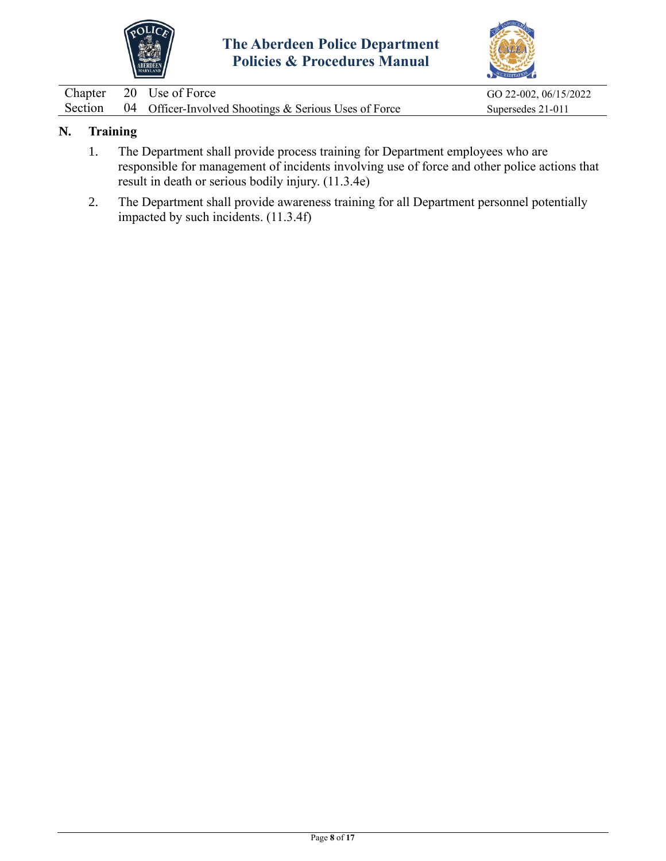



|  | Chapter 20 Use of Force                                       | GO 22-002, 06/15/2022 |
|--|---------------------------------------------------------------|-----------------------|
|  | Section 04 Officer-Involved Shootings & Serious Uses of Force | Supersedes 21-011     |

# **N. Training**

- 1. The Department shall provide process training for Department employees who are responsible for management of incidents involving use of force and other police actions that result in death or serious bodily injury. (11.3.4e)
- 2. The Department shall provide awareness training for all Department personnel potentially impacted by such incidents. (11.3.4f)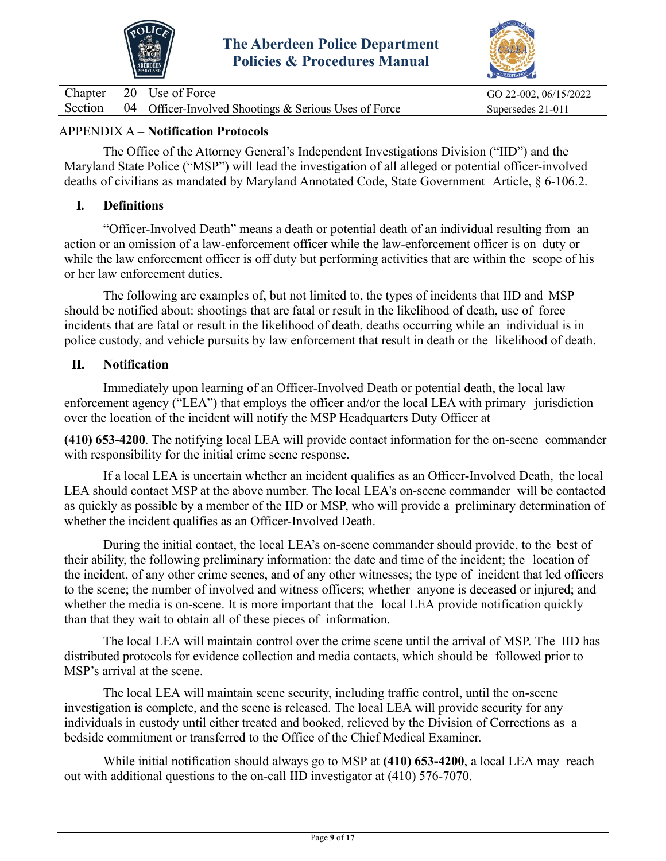



|  | Chapter 20 Use of Force                                       | GO 22-002, 06/15/2022 |
|--|---------------------------------------------------------------|-----------------------|
|  | Section 04 Officer-Involved Shootings & Serious Uses of Force | Supersedes 21-011     |

## APPENDIX A – **Notification Protocols**

The Office of the Attorney General's Independent Investigations Division ("IID") and the Maryland State Police ("MSP") will lead the investigation of all alleged or potential officer-involved deaths of civilians as mandated by Maryland Annotated Code, State Government Article, § 6-106.2.

## **I. Definitions**

"Officer-Involved Death" means a death or potential death of an individual resulting from an action or an omission of a law-enforcement officer while the law-enforcement officer is on duty or while the law enforcement officer is off duty but performing activities that are within the scope of his or her law enforcement duties.

The following are examples of, but not limited to, the types of incidents that IID and MSP should be notified about: shootings that are fatal or result in the likelihood of death, use of force incidents that are fatal or result in the likelihood of death, deaths occurring while an individual is in police custody, and vehicle pursuits by law enforcement that result in death or the likelihood of death.

## **II. Notification**

Immediately upon learning of an Officer-Involved Death or potential death, the local law enforcement agency ("LEA") that employs the officer and/or the local LEA with primary jurisdiction over the location of the incident will notify the MSP Headquarters Duty Officer at

**(410) 653-4200**. The notifying local LEA will provide contact information for the on-scene commander with responsibility for the initial crime scene response.

If a local LEA is uncertain whether an incident qualifies as an Officer-Involved Death, the local LEA should contact MSP at the above number. The local LEA's on-scene commander will be contacted as quickly as possible by a member of the IID or MSP, who will provide a preliminary determination of whether the incident qualifies as an Officer-Involved Death.

During the initial contact, the local LEA's on-scene commander should provide, to the best of their ability, the following preliminary information: the date and time of the incident; the location of the incident, of any other crime scenes, and of any other witnesses; the type of incident that led officers to the scene; the number of involved and witness officers; whether anyone is deceased or injured; and whether the media is on-scene. It is more important that the local LEA provide notification quickly than that they wait to obtain all of these pieces of information.

The local LEA will maintain control over the crime scene until the arrival of MSP. The IID has distributed protocols for evidence collection and media contacts, which should be followed prior to MSP's arrival at the scene.

The local LEA will maintain scene security, including traffic control, until the on-scene investigation is complete, and the scene is released. The local LEA will provide security for any individuals in custody until either treated and booked, relieved by the Division of Corrections as a bedside commitment or transferred to the Office of the Chief Medical Examiner.

While initial notification should always go to MSP at **(410) 653-4200**, a local LEA may reach out with additional questions to the on-call IID investigator at (410) 576-7070.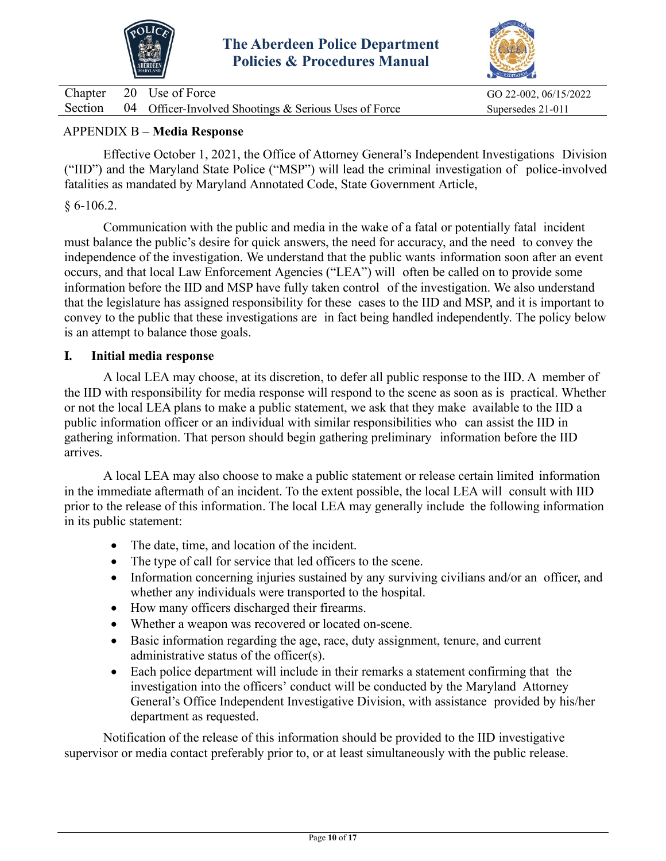



|  | Chapter 20 Use of Force                                       | GO 22-002, 06/15/2022 |
|--|---------------------------------------------------------------|-----------------------|
|  | Section 04 Officer-Involved Shootings & Serious Uses of Force | Supersedes 21-011     |

## APPENDIX B – **Media Response**

Effective October 1, 2021, the Office of Attorney General's Independent Investigations Division ("IID") and the Maryland State Police ("MSP") will lead the criminal investigation of police-involved fatalities as mandated by Maryland Annotated Code, State Government Article,

#### $§ 6-106.2.$

Communication with the public and media in the wake of a fatal or potentially fatal incident must balance the public's desire for quick answers, the need for accuracy, and the need to convey the independence of the investigation. We understand that the public wants information soon after an event occurs, and that local Law Enforcement Agencies ("LEA") will often be called on to provide some information before the IID and MSP have fully taken control of the investigation. We also understand that the legislature has assigned responsibility for these cases to the IID and MSP, and it is important to convey to the public that these investigations are in fact being handled independently. The policy below is an attempt to balance those goals.

#### **I. Initial media response**

A local LEA may choose, at its discretion, to defer all public response to the IID. A member of the IID with responsibility for media response will respond to the scene as soon as is practical. Whether or not the local LEA plans to make a public statement, we ask that they make available to the IID a public information officer or an individual with similar responsibilities who can assist the IID in gathering information. That person should begin gathering preliminary information before the IID arrives.

A local LEA may also choose to make a public statement or release certain limited information in the immediate aftermath of an incident. To the extent possible, the local LEA will consult with IID prior to the release of this information. The local LEA may generally include the following information in its public statement:

- The date, time, and location of the incident.
- The type of call for service that led officers to the scene.
- Information concerning injuries sustained by any surviving civilians and/or an officer, and whether any individuals were transported to the hospital.
- How many officers discharged their firearms.
- Whether a weapon was recovered or located on-scene.
- Basic information regarding the age, race, duty assignment, tenure, and current administrative status of the officer(s).
- Each police department will include in their remarks a statement confirming that the investigation into the officers' conduct will be conducted by the Maryland Attorney General's Office Independent Investigative Division, with assistance provided by his/her department as requested.

Notification of the release of this information should be provided to the IID investigative supervisor or media contact preferably prior to, or at least simultaneously with the public release.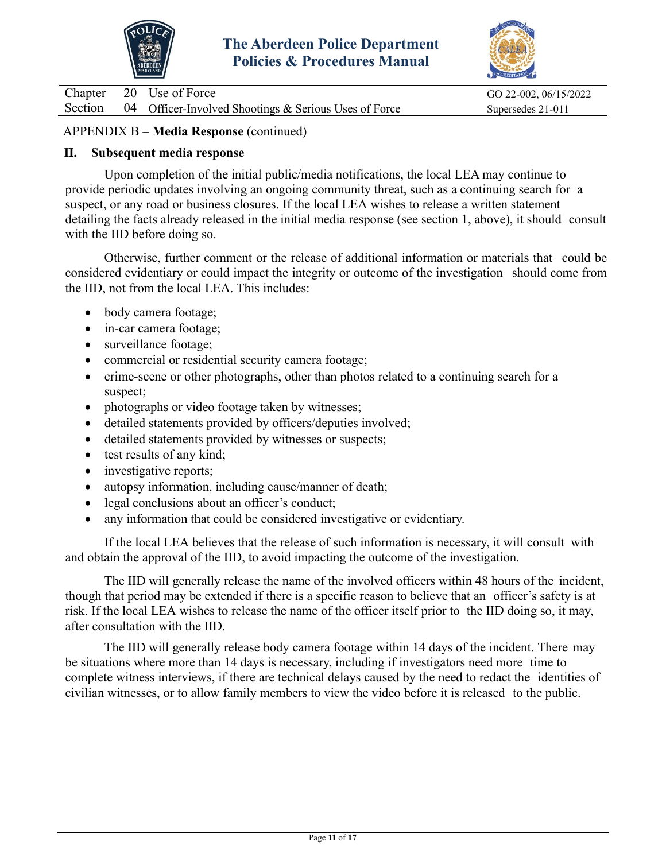



|  | Chapter 20 Use of Force                                       | GO 22-002, 06/15/2022 |
|--|---------------------------------------------------------------|-----------------------|
|  | Section 04 Officer-Involved Shootings & Serious Uses of Force | Supersedes 21-011     |

## APPENDIX B – **Media Response** (continued)

#### **II. Subsequent media response**

Upon completion of the initial public/media notifications, the local LEA may continue to provide periodic updates involving an ongoing community threat, such as a continuing search for a suspect, or any road or business closures. If the local LEA wishes to release a written statement detailing the facts already released in the initial media response (see section 1, above), it should consult with the IID before doing so.

Otherwise, further comment or the release of additional information or materials that could be considered evidentiary or could impact the integrity or outcome of the investigation should come from the IID, not from the local LEA. This includes:

- body camera footage;
- in-car camera footage;
- surveillance footage;
- commercial or residential security camera footage;
- crime-scene or other photographs, other than photos related to a continuing search for a suspect;
- photographs or video footage taken by witnesses;
- detailed statements provided by officers/deputies involved;
- detailed statements provided by witnesses or suspects;
- test results of any kind;
- investigative reports;
- autopsy information, including cause/manner of death;
- legal conclusions about an officer's conduct;
- any information that could be considered investigative or evidentiary.

If the local LEA believes that the release of such information is necessary, it will consult with and obtain the approval of the IID, to avoid impacting the outcome of the investigation.

The IID will generally release the name of the involved officers within 48 hours of the incident, though that period may be extended if there is a specific reason to believe that an officer's safety is at risk. If the local LEA wishes to release the name of the officer itself prior to the IID doing so, it may, after consultation with the IID.

The IID will generally release body camera footage within 14 days of the incident. There may be situations where more than 14 days is necessary, including if investigators need more time to complete witness interviews, if there are technical delays caused by the need to redact the identities of civilian witnesses, or to allow family members to view the video before it is released to the public.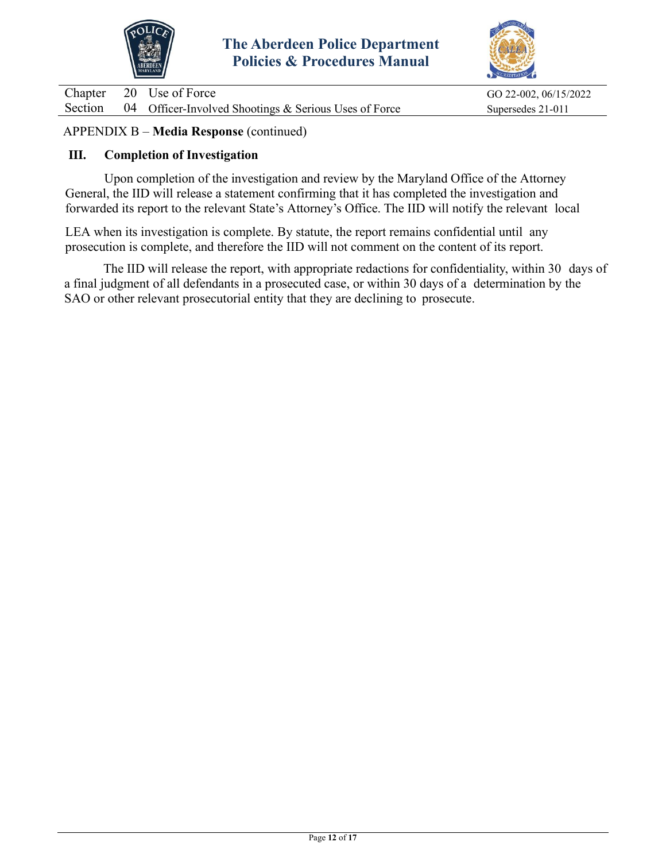



|  | Chapter 20 Use of Force                                       | GO 22-002, 06/15/2022 |
|--|---------------------------------------------------------------|-----------------------|
|  | Section 04 Officer-Involved Shootings & Serious Uses of Force | Supersedes 21-011     |

## APPENDIX B – **Media Response** (continued)

#### **III. Completion of Investigation**

Upon completion of the investigation and review by the Maryland Office of the Attorney General, the IID will release a statement confirming that it has completed the investigation and forwarded its report to the relevant State's Attorney's Office. The IID will notify the relevant local

LEA when its investigation is complete. By statute, the report remains confidential until any prosecution is complete, and therefore the IID will not comment on the content of its report.

The IID will release the report, with appropriate redactions for confidentiality, within 30 days of a final judgment of all defendants in a prosecuted case, or within 30 days of a determination by the SAO or other relevant prosecutorial entity that they are declining to prosecute.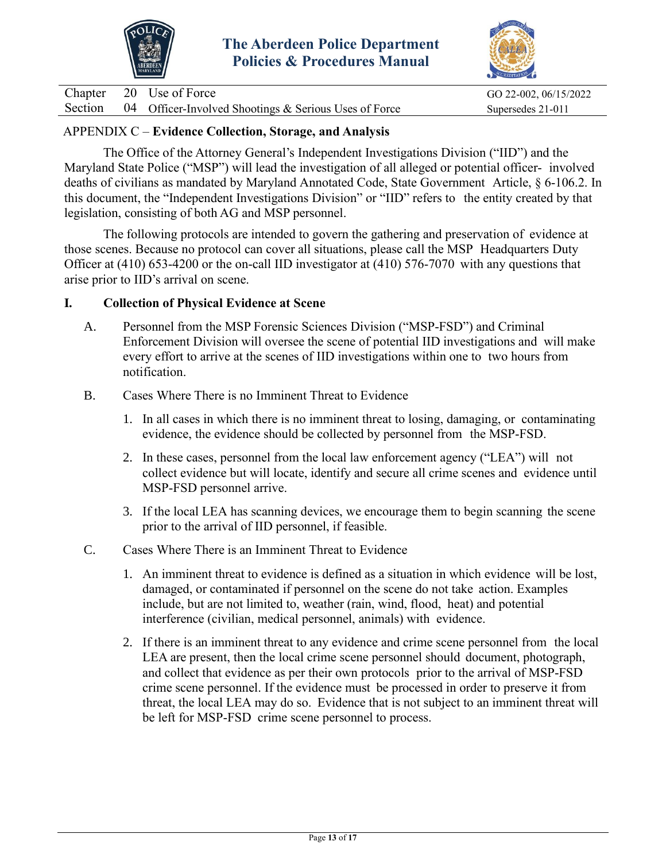



|  | Chapter 20 Use of Force                                       | GO 22-002, 06/15/2022 |
|--|---------------------------------------------------------------|-----------------------|
|  | Section 04 Officer-Involved Shootings & Serious Uses of Force | Supersedes 21-011     |

## APPENDIX C – **Evidence Collection, Storage, and Analysis**

The Office of the Attorney General's Independent Investigations Division ("IID") and the Maryland State Police ("MSP") will lead the investigation of all alleged or potential officer- involved deaths of civilians as mandated by Maryland Annotated Code, State Government Article, § 6-106.2. In this document, the "Independent Investigations Division" or "IID" refers to the entity created by that legislation, consisting of both AG and MSP personnel.

The following protocols are intended to govern the gathering and preservation of evidence at those scenes. Because no protocol can cover all situations, please call the MSP Headquarters Duty Officer at (410) 653-4200 or the on-call IID investigator at (410) 576-7070 with any questions that arise prior to IID's arrival on scene.

#### **I. Collection of Physical Evidence at Scene**

- A. Personnel from the MSP Forensic Sciences Division ("MSP-FSD") and Criminal Enforcement Division will oversee the scene of potential IID investigations and will make every effort to arrive at the scenes of IID investigations within one to two hours from notification.
- B. Cases Where There is no Imminent Threat to Evidence
	- 1. In all cases in which there is no imminent threat to losing, damaging, or contaminating evidence, the evidence should be collected by personnel from the MSP-FSD.
	- 2. In these cases, personnel from the local law enforcement agency ("LEA") will not collect evidence but will locate, identify and secure all crime scenes and evidence until MSP-FSD personnel arrive.
	- 3. If the local LEA has scanning devices, we encourage them to begin scanning the scene prior to the arrival of IID personnel, if feasible.
- C. Cases Where There is an Imminent Threat to Evidence
	- 1. An imminent threat to evidence is defined as a situation in which evidence will be lost, damaged, or contaminated if personnel on the scene do not take action. Examples include, but are not limited to, weather (rain, wind, flood, heat) and potential interference (civilian, medical personnel, animals) with evidence.
	- 2. If there is an imminent threat to any evidence and crime scene personnel from the local LEA are present, then the local crime scene personnel should document, photograph, and collect that evidence as per their own protocols prior to the arrival of MSP-FSD crime scene personnel. If the evidence must be processed in order to preserve it from threat, the local LEA may do so. Evidence that is not subject to an imminent threat will be left for MSP-FSD crime scene personnel to process.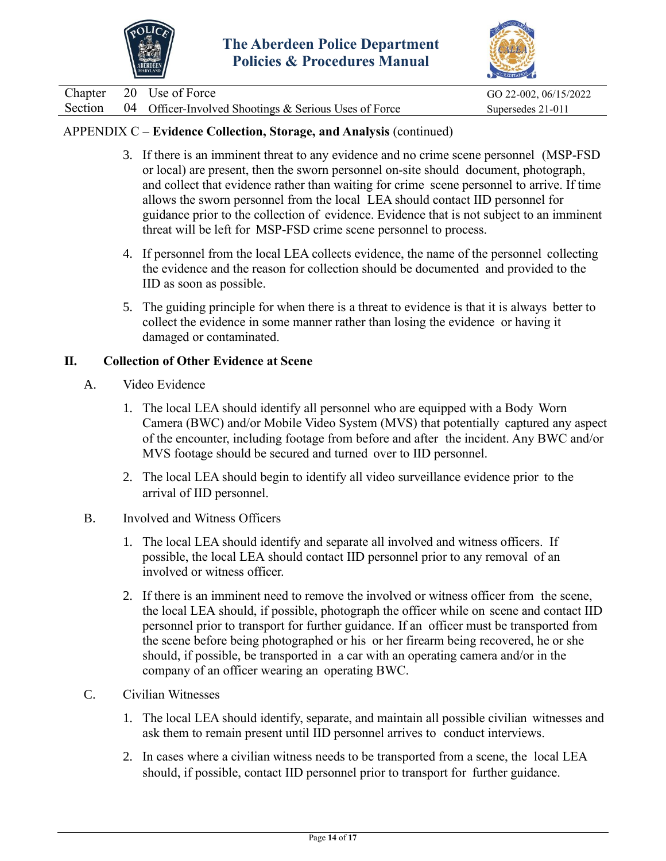



Chapter 20 Use of Force GO 22-002, 06/15/2022 Section  $04$  Officer-Involved Shootings & Serious Uses of Force Supersedes 21-011

## APPENDIX C – **Evidence Collection, Storage, and Analysis** (continued)

- 3. If there is an imminent threat to any evidence and no crime scene personnel (MSP-FSD or local) are present, then the sworn personnel on-site should document, photograph, and collect that evidence rather than waiting for crime scene personnel to arrive. If time allows the sworn personnel from the local LEA should contact IID personnel for guidance prior to the collection of evidence. Evidence that is not subject to an imminent threat will be left for MSP-FSD crime scene personnel to process.
- 4. If personnel from the local LEA collects evidence, the name of the personnel collecting the evidence and the reason for collection should be documented and provided to the IID as soon as possible.
- 5. The guiding principle for when there is a threat to evidence is that it is always better to collect the evidence in some manner rather than losing the evidence or having it damaged or contaminated.

## **II. Collection of Other Evidence at Scene**

- A. Video Evidence
	- 1. The local LEA should identify all personnel who are equipped with a Body Worn Camera (BWC) and/or Mobile Video System (MVS) that potentially captured any aspect of the encounter, including footage from before and after the incident. Any BWC and/or MVS footage should be secured and turned over to IID personnel.
	- 2. The local LEA should begin to identify all video surveillance evidence prior to the arrival of IID personnel.

## B. Involved and Witness Officers

- 1. The local LEA should identify and separate all involved and witness officers. If possible, the local LEA should contact IID personnel prior to any removal of an involved or witness officer.
- 2. If there is an imminent need to remove the involved or witness officer from the scene, the local LEA should, if possible, photograph the officer while on scene and contact IID personnel prior to transport for further guidance. If an officer must be transported from the scene before being photographed or his or her firearm being recovered, he or she should, if possible, be transported in a car with an operating camera and/or in the company of an officer wearing an operating BWC.
- C. Civilian Witnesses
	- 1. The local LEA should identify, separate, and maintain all possible civilian witnesses and ask them to remain present until IID personnel arrives to conduct interviews.
	- 2. In cases where a civilian witness needs to be transported from a scene, the local LEA should, if possible, contact IID personnel prior to transport for further guidance.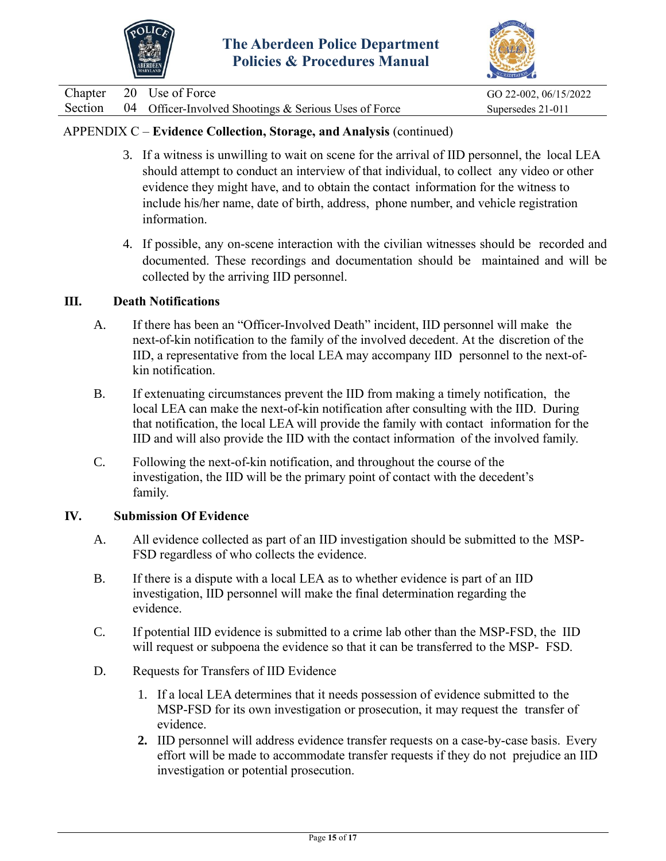



Chapter 20 Use of Force GO 22-002, 06/15/2022 Section 04 Officer-Involved Shootings & Serious Uses of Force Supersedes 21-011

# APPENDIX C – **Evidence Collection, Storage, and Analysis** (continued)

- 3. If a witness is unwilling to wait on scene for the arrival of IID personnel, the local LEA should attempt to conduct an interview of that individual, to collect any video or other evidence they might have, and to obtain the contact information for the witness to include his/her name, date of birth, address, phone number, and vehicle registration information.
- 4. If possible, any on-scene interaction with the civilian witnesses should be recorded and documented. These recordings and documentation should be maintained and will be collected by the arriving IID personnel.

#### **III. Death Notifications**

- A. If there has been an "Officer-Involved Death" incident, IID personnel will make the next-of-kin notification to the family of the involved decedent. At the discretion of the IID, a representative from the local LEA may accompany IID personnel to the next-ofkin notification.
- B. If extenuating circumstances prevent the IID from making a timely notification, the local LEA can make the next-of-kin notification after consulting with the IID. During that notification, the local LEA will provide the family with contact information for the IID and will also provide the IID with the contact information of the involved family.
- C. Following the next-of-kin notification, and throughout the course of the investigation, the IID will be the primary point of contact with the decedent's family.

#### **IV. Submission Of Evidence**

- A. All evidence collected as part of an IID investigation should be submitted to the MSP-FSD regardless of who collects the evidence.
- B. If there is a dispute with a local LEA as to whether evidence is part of an IID investigation, IID personnel will make the final determination regarding the evidence.
- C. If potential IID evidence is submitted to a crime lab other than the MSP-FSD, the IID will request or subpoena the evidence so that it can be transferred to the MSP- FSD.
- D. Requests for Transfers of IID Evidence
	- 1. If a local LEA determines that it needs possession of evidence submitted to the MSP-FSD for its own investigation or prosecution, it may request the transfer of evidence.
	- **2.** IID personnel will address evidence transfer requests on a case-by-case basis. Every effort will be made to accommodate transfer requests if they do not prejudice an IID investigation or potential prosecution.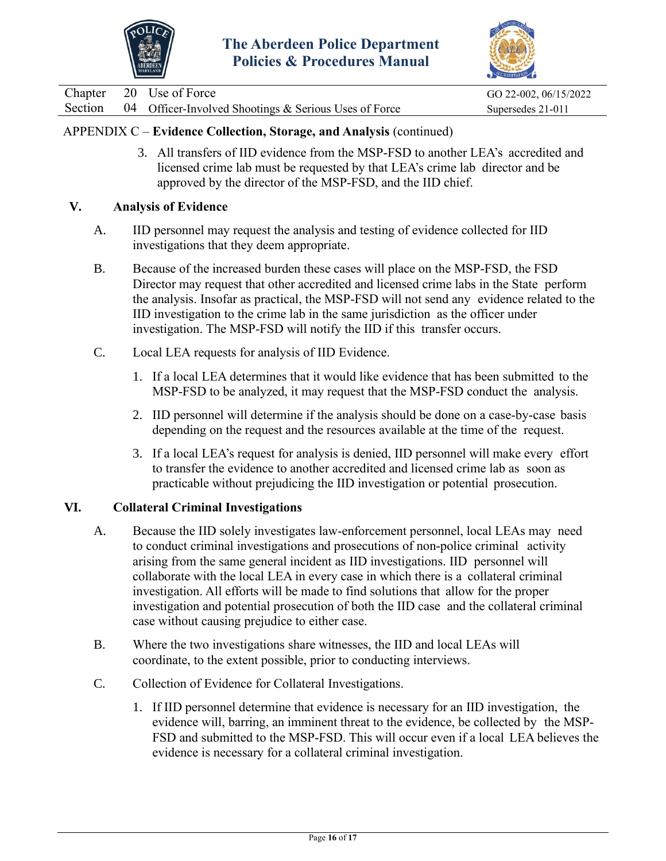



Chapter 20 Use of Force GO 22-002, 06/15/2022 Section 04 Officer-Involved Shootings & Serious Uses of Force Supersedes 21-011

## APPENDIX C – **Evidence Collection, Storage, and Analysis** (continued)

3. All transfers of IID evidence from the MSP-FSD to another LEA's accredited and licensed crime lab must be requested by that LEA's crime lab director and be approved by the director of the MSP-FSD, and the IID chief.

#### **V. Analysis of Evidence**

- A. IID personnel may request the analysis and testing of evidence collected for IID investigations that they deem appropriate.
- B. Because of the increased burden these cases will place on the MSP-FSD, the FSD Director may request that other accredited and licensed crime labs in the State perform the analysis. Insofar as practical, the MSP-FSD will not send any evidence related to the IID investigation to the crime lab in the same jurisdiction as the officer under investigation. The MSP-FSD will notify the IID if this transfer occurs.
- C. Local LEA requests for analysis of IID Evidence.
	- 1. If a local LEA determines that it would like evidence that has been submitted to the MSP-FSD to be analyzed, it may request that the MSP-FSD conduct the analysis.
	- 2. IID personnel will determine if the analysis should be done on a case-by-case basis depending on the request and the resources available at the time of the request.
	- 3. If a local LEA's request for analysis is denied, IID personnel will make every effort to transfer the evidence to another accredited and licensed crime lab as soon as practicable without prejudicing the IID investigation or potential prosecution.

#### **VI. Collateral Criminal Investigations**

- A. Because the IID solely investigates law-enforcement personnel, local LEAs may need to conduct criminal investigations and prosecutions of non-police criminal activity arising from the same general incident as IID investigations. IID personnel will collaborate with the local LEA in every case in which there is a collateral criminal investigation. All efforts will be made to find solutions that allow for the proper investigation and potential prosecution of both the IID case and the collateral criminal case without causing prejudice to either case.
- B. Where the two investigations share witnesses, the IID and local LEAs will coordinate, to the extent possible, prior to conducting interviews.
- C. Collection of Evidence for Collateral Investigations.
	- 1. If IID personnel determine that evidence is necessary for an IID investigation, the evidence will, barring, an imminent threat to the evidence, be collected by the MSP-FSD and submitted to the MSP-FSD. This will occur even if a local LEA believes the evidence is necessary for a collateral criminal investigation.